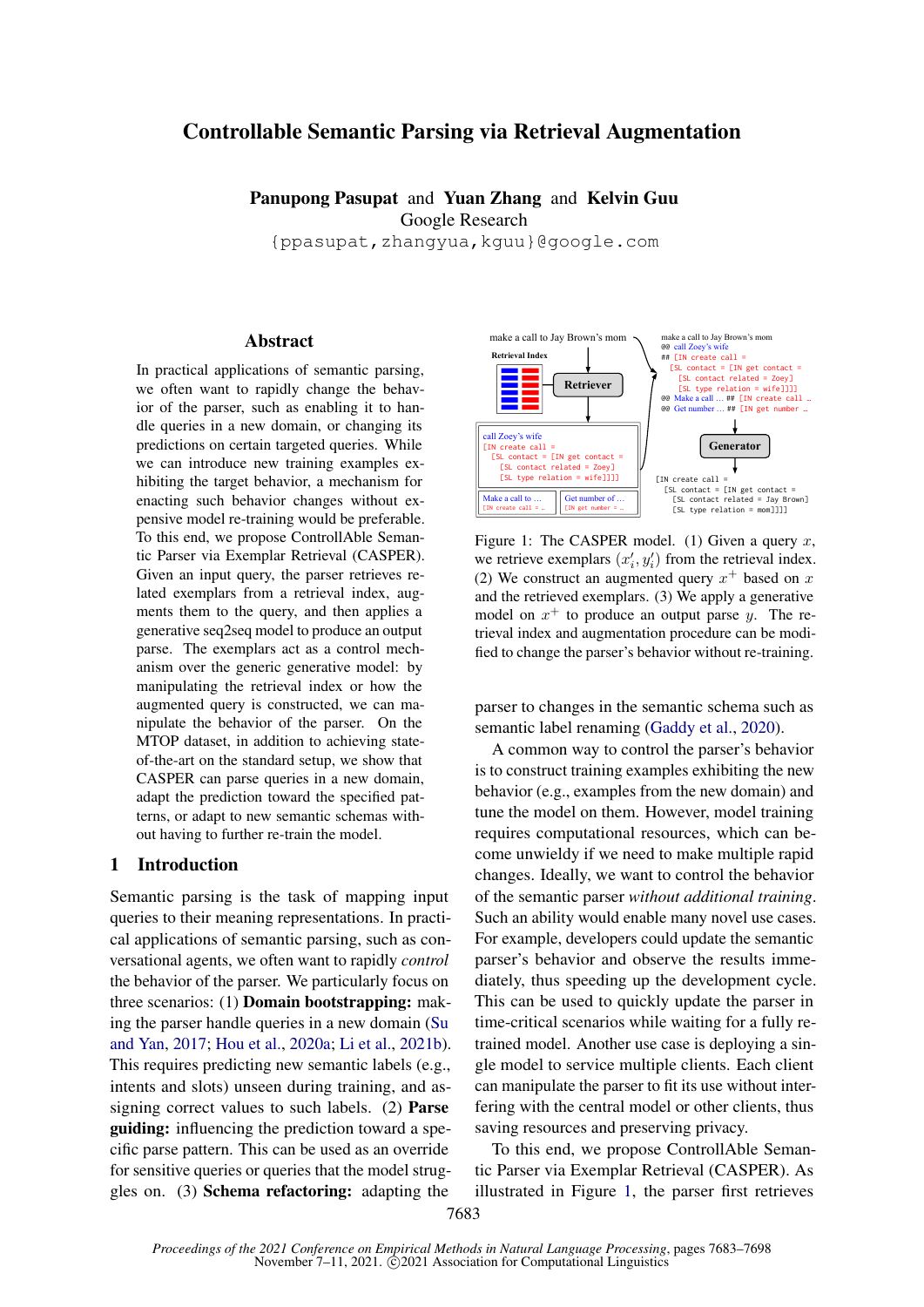# Controllable Semantic Parsing via Retrieval Augmentation

Panupong Pasupat and Yuan Zhang and Kelvin Guu Google Research

{ppasupat,zhangyua,kguu}@google.com

### Abstract

In practical applications of semantic parsing, we often want to rapidly change the behavior of the parser, such as enabling it to handle queries in a new domain, or changing its predictions on certain targeted queries. While we can introduce new training examples exhibiting the target behavior, a mechanism for enacting such behavior changes without expensive model re-training would be preferable. To this end, we propose ControllAble Semantic Parser via Exemplar Retrieval (CASPER). Given an input query, the parser retrieves related exemplars from a retrieval index, augments them to the query, and then applies a generative seq2seq model to produce an output parse. The exemplars act as a control mechanism over the generic generative model: by manipulating the retrieval index or how the augmented query is constructed, we can manipulate the behavior of the parser. On the MTOP dataset, in addition to achieving stateof-the-art on the standard setup, we show that CASPER can parse queries in a new domain, adapt the prediction toward the specified patterns, or adapt to new semantic schemas without having to further re-train the model.

### 1 Introduction

Semantic parsing is the task of mapping input queries to their meaning representations. In practical applications of semantic parsing, such as conversational agents, we often want to rapidly *control* the behavior of the parser. We particularly focus on three scenarios: (1) Domain bootstrapping: making the parser handle queries in a new domain [\(Su](#page-12-0) [and Yan,](#page-12-0) [2017;](#page-12-0) [Hou et al.,](#page-10-0) [2020a;](#page-10-0) [Li et al.,](#page-11-0) [2021b\)](#page-11-0). This requires predicting new semantic labels (e.g., intents and slots) unseen during training, and assigning correct values to such labels. (2) Parse guiding: influencing the prediction toward a specific parse pattern. This can be used as an override for sensitive queries or queries that the model struggles on. (3) Schema refactoring: adapting the

<span id="page-0-0"></span>

Figure 1: The CASPER model. (1) Given a query  $x$ , we retrieve exemplars  $(x'_i, y'_i)$  from the retrieval index. (2) We construct an augmented query  $x^+$  based on x and the retrieved exemplars. (3) We apply a generative model on  $x^+$  to produce an output parse y. The retrieval index and augmentation procedure can be modified to change the parser's behavior without re-training.

parser to changes in the semantic schema such as semantic label renaming [\(Gaddy et al.,](#page-10-1) [2020\)](#page-10-1).

A common way to control the parser's behavior is to construct training examples exhibiting the new behavior (e.g., examples from the new domain) and tune the model on them. However, model training requires computational resources, which can become unwieldy if we need to make multiple rapid changes. Ideally, we want to control the behavior of the semantic parser *without additional training*. Such an ability would enable many novel use cases. For example, developers could update the semantic parser's behavior and observe the results immediately, thus speeding up the development cycle. This can be used to quickly update the parser in time-critical scenarios while waiting for a fully retrained model. Another use case is deploying a single model to service multiple clients. Each client can manipulate the parser to fit its use without interfering with the central model or other clients, thus saving resources and preserving privacy.

To this end, we propose ControllAble Semantic Parser via Exemplar Retrieval (CASPER). As illustrated in Figure [1,](#page-0-0) the parser first retrieves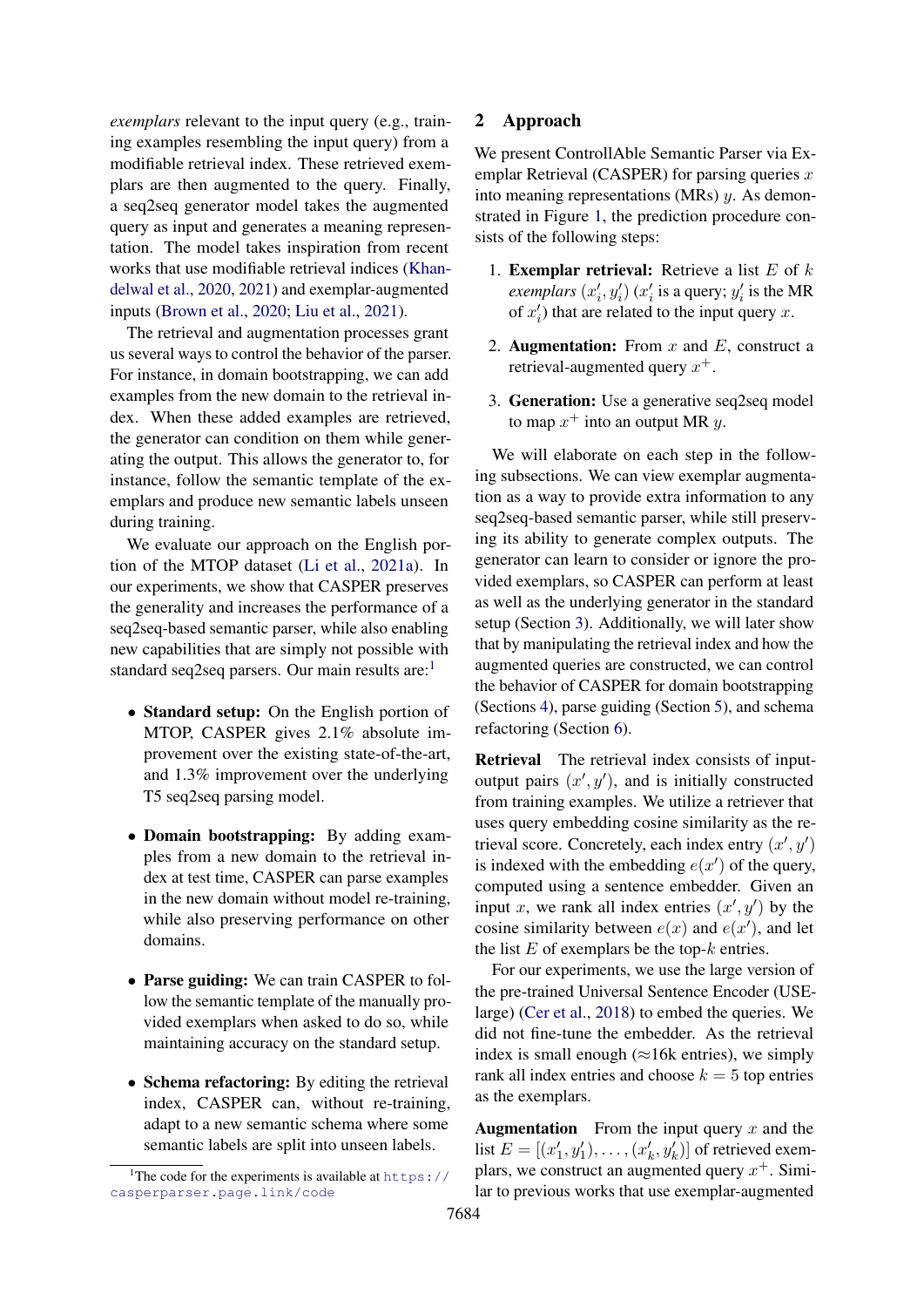*exemplars* relevant to the input query (e.g., training examples resembling the input query) from a modifiable retrieval index. These retrieved exemplars are then augmented to the query. Finally, a seq2seq generator model takes the augmented query as input and generates a meaning representation. The model takes inspiration from recent works that use modifiable retrieval indices [\(Khan](#page-10-2)[delwal et al.,](#page-10-2) [2020,](#page-10-2) [2021\)](#page-10-3) and exemplar-augmented inputs [\(Brown et al.,](#page-9-0) [2020;](#page-9-0) [Liu et al.,](#page-11-1) [2021\)](#page-11-1).

The retrieval and augmentation processes grant us several ways to control the behavior of the parser. For instance, in domain bootstrapping, we can add examples from the new domain to the retrieval index. When these added examples are retrieved, the generator can condition on them while generating the output. This allows the generator to, for instance, follow the semantic template of the exemplars and produce new semantic labels unseen during training.

We evaluate our approach on the English portion of the MTOP dataset [\(Li et al.,](#page-11-2) [2021a\)](#page-11-2). In our experiments, we show that CASPER preserves the generality and increases the performance of a seq2seq-based semantic parser, while also enabling new capabilities that are simply not possible with standard seq2seq parsers. Our main results are: $<sup>1</sup>$  $<sup>1</sup>$  $<sup>1</sup>$ </sup>

- Standard setup: On the English portion of MTOP, CASPER gives 2.1% absolute improvement over the existing state-of-the-art, and 1.3% improvement over the underlying T5 seq2seq parsing model.
- Domain bootstrapping: By adding examples from a new domain to the retrieval index at test time, CASPER can parse examples in the new domain without model re-training, while also preserving performance on other domains.
- Parse guiding: We can train CASPER to follow the semantic template of the manually provided exemplars when asked to do so, while maintaining accuracy on the standard setup.
- Schema refactoring: By editing the retrieval index, CASPER can, without re-training, adapt to a new semantic schema where some semantic labels are split into unseen labels.

# 2 Approach

We present ControllAble Semantic Parser via Exemplar Retrieval (CASPER) for parsing queries  $x$ into meaning representations (MRs) y. As demonstrated in Figure [1,](#page-0-0) the prediction procedure consists of the following steps:

- 1. **Exemplar retrieval:** Retrieve a list  $E$  of  $k$ *exemplars*  $(x'_i, y'_i)$   $(x'_i$  is a query;  $y'_i$  is the MR of  $x'_i$ ) that are related to the input query x.
- 2. **Augmentation:** From  $x$  and  $E$ , construct a retrieval-augmented query  $x^+$ .
- 3. Generation: Use a generative seq2seq model to map  $x^+$  into an output MR  $y$ .

We will elaborate on each step in the following subsections. We can view exemplar augmentation as a way to provide extra information to any seq2seq-based semantic parser, while still preserving its ability to generate complex outputs. The generator can learn to consider or ignore the provided exemplars, so CASPER can perform at least as well as the underlying generator in the standard setup (Section [3\)](#page-3-0). Additionally, we will later show that by manipulating the retrieval index and how the augmented queries are constructed, we can control the behavior of CASPER for domain bootstrapping (Sections [4\)](#page-4-0), parse guiding (Section [5\)](#page-6-0), and schema refactoring (Section [6\)](#page-6-1).

Retrieval The retrieval index consists of inputoutput pairs  $(x', y')$ , and is initially constructed from training examples. We utilize a retriever that uses query embedding cosine similarity as the retrieval score. Concretely, each index entry  $(x', y')$ is indexed with the embedding  $e(x')$  of the query, computed using a sentence embedder. Given an input x, we rank all index entries  $(x', y')$  by the cosine similarity between  $e(x)$  and  $e(x')$ , and let the list  $E$  of exemplars be the top- $k$  entries.

For our experiments, we use the large version of the pre-trained Universal Sentence Encoder (USElarge) [\(Cer et al.,](#page-9-1) [2018\)](#page-9-1) to embed the queries. We did not fine-tune the embedder. As the retrieval index is small enough ( $\approx$ 16k entries), we simply rank all index entries and choose  $k = 5$  top entries as the exemplars.

**Augmentation** From the input query  $x$  and the list  $E = [(x'_1, y'_1), \dots, (x'_k, y'_k)]$  of retrieved exemplars, we construct an augmented query  $x^+$ . Similar to previous works that use exemplar-augmented

<span id="page-1-0"></span><sup>&</sup>lt;sup>1</sup>The code for the experiments is available at [https://](https://casperparser.page.link/code) [casperparser.page.link/code](https://casperparser.page.link/code)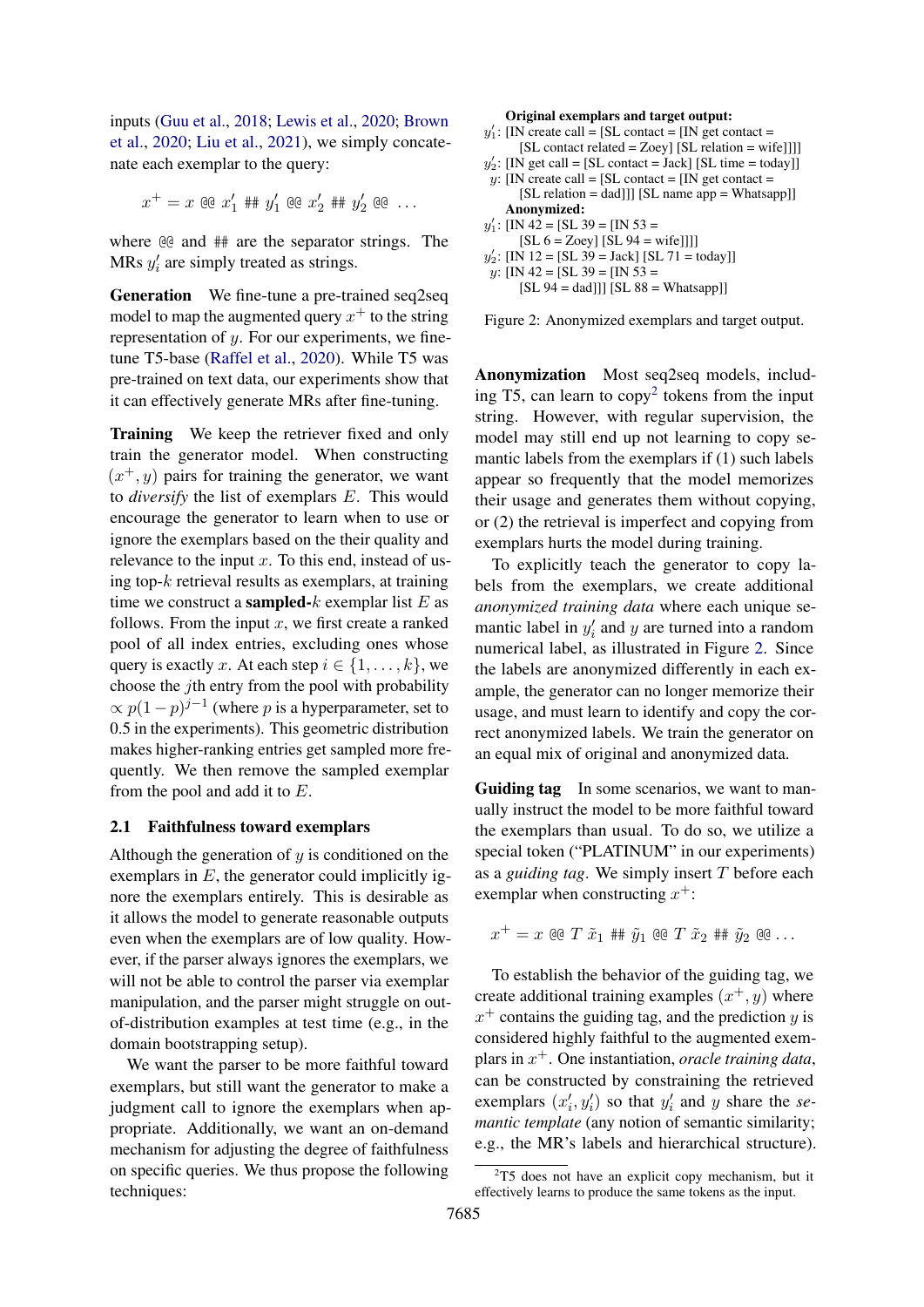inputs [\(Guu et al.,](#page-10-4) [2018;](#page-10-4) [Lewis et al.,](#page-11-3) [2020;](#page-11-3) [Brown](#page-9-0) [et al.,](#page-9-0) [2020;](#page-9-0) [Liu et al.,](#page-11-1) [2021\)](#page-11-1), we simply concatenate each exemplar to the query:

$$
x^+ = x \otimes x_1' \# \# y_1' \otimes x_2' \# \# y_2' \otimes \ldots
$$

where @@ and ## are the separator strings. The MRs  $y_i'$  are simply treated as strings.

Generation We fine-tune a pre-trained seq2seq model to map the augmented query  $x^+$  to the string representation of y. For our experiments, we finetune T5-base [\(Raffel et al.,](#page-11-4) [2020\)](#page-11-4). While T5 was pre-trained on text data, our experiments show that it can effectively generate MRs after fine-tuning.

Training We keep the retriever fixed and only train the generator model. When constructing  $(x^+, y)$  pairs for training the generator, we want to *diversify* the list of exemplars E. This would encourage the generator to learn when to use or ignore the exemplars based on the their quality and relevance to the input  $x$ . To this end, instead of using top- $k$  retrieval results as exemplars, at training time we construct a **sampled-** $k$  exemplar list  $E$  as follows. From the input  $x$ , we first create a ranked pool of all index entries, excluding ones whose query is exactly x. At each step  $i \in \{1, \ldots, k\}$ , we choose the jth entry from the pool with probability  $\propto p(1-p)^{j-1}$  (where p is a hyperparameter, set to 0.5 in the experiments). This geometric distribution makes higher-ranking entries get sampled more frequently. We then remove the sampled exemplar from the pool and add it to E.

### <span id="page-2-2"></span>2.1 Faithfulness toward exemplars

Although the generation of  $y$  is conditioned on the exemplars in  $E$ , the generator could implicitly ignore the exemplars entirely. This is desirable as it allows the model to generate reasonable outputs even when the exemplars are of low quality. However, if the parser always ignores the exemplars, we will not be able to control the parser via exemplar manipulation, and the parser might struggle on outof-distribution examples at test time (e.g., in the domain bootstrapping setup).

We want the parser to be more faithful toward exemplars, but still want the generator to make a judgment call to ignore the exemplars when appropriate. Additionally, we want an on-demand mechanism for adjusting the degree of faithfulness on specific queries. We thus propose the following techniques:

#### Original exemplars and target output:

- <span id="page-2-1"></span> $y_1'$ : [IN create call = [SL contact = [IN get contact = [SL contact related = Zoey] [SL relation = wife]]]]
- $y_2'$ : [IN get call = [SL contact = Jack] [SL time = today]]
- y: [IN create call =  $[SL \text{ contact} = I]$ ] get contact = [SL relation = dad]]] [SL name app = Whatsapp]] Anonymized:
- $y'_1$ : [IN 42 = [SL 39 = [IN 53 =
- $[SL 6 = Zoey] [SL 94 = wife]]]$
- $y'_2$ : [IN 12 = [SL 39 = Jack] [SL 71 = today]]

 $y:$  [IN 42 = [SL 39 = [IN 53 =  $[SL 94 = dad]]$   $[SL 88 = Whatsapp]$ 

Figure 2: Anonymized exemplars and target output.

Anonymization Most seq2seq models, including T5, can learn to  $copy<sup>2</sup>$  $copy<sup>2</sup>$  $copy<sup>2</sup>$  tokens from the input string. However, with regular supervision, the model may still end up not learning to copy semantic labels from the exemplars if (1) such labels appear so frequently that the model memorizes their usage and generates them without copying, or (2) the retrieval is imperfect and copying from exemplars hurts the model during training.

To explicitly teach the generator to copy labels from the exemplars, we create additional *anonymized training data* where each unique semantic label in  $y_i'$  and y are turned into a random numerical label, as illustrated in Figure [2.](#page-2-1) Since the labels are anonymized differently in each example, the generator can no longer memorize their usage, and must learn to identify and copy the correct anonymized labels. We train the generator on an equal mix of original and anonymized data.

Guiding tag In some scenarios, we want to manually instruct the model to be more faithful toward the exemplars than usual. To do so, we utilize a special token ("PLATINUM" in our experiments) as a *guiding tag*. We simply insert T before each exemplar when constructing  $x^+$ :

 $x^+=x$  @@  $T \tilde{x}_1$  ##  $\tilde{y}_1$  @@  $T \tilde{x}_2$  ##  $\tilde{y}_2$  @@  $\ldots$ 

To establish the behavior of the guiding tag, we create additional training examples  $(x^+, y)$  where  $x^{+}$  contains the guiding tag, and the prediction y is considered highly faithful to the augmented exemplars in x <sup>+</sup>. One instantiation, *oracle training data*, can be constructed by constraining the retrieved exemplars  $(x'_i, y'_i)$  so that  $y'_i$  and y share the *semantic template* (any notion of semantic similarity; e.g., the MR's labels and hierarchical structure).

<span id="page-2-0"></span> $2T5$  does not have an explicit copy mechanism, but it effectively learns to produce the same tokens as the input.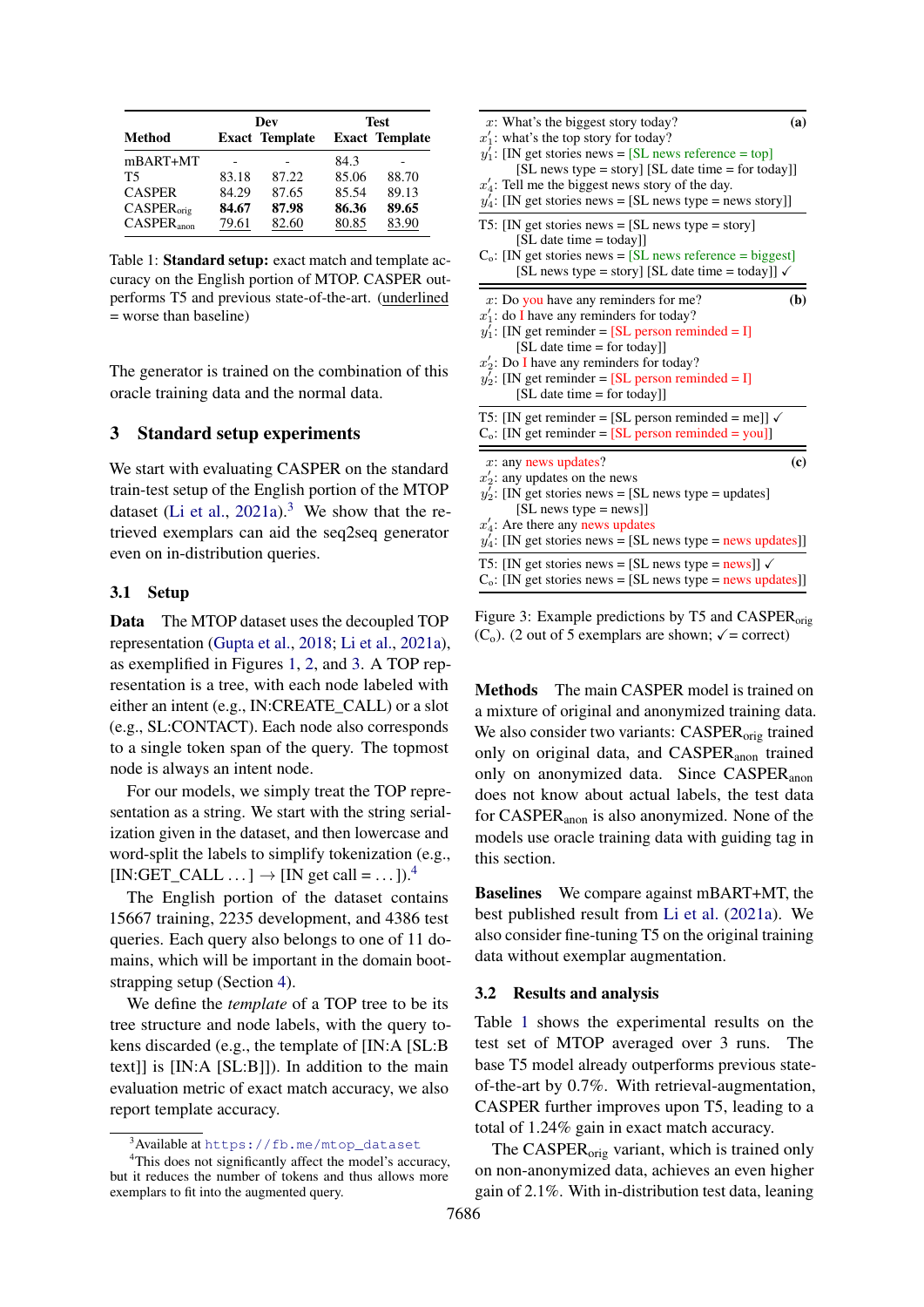<span id="page-3-4"></span>

|                        | Dev   |                       | Test  |                       |
|------------------------|-------|-----------------------|-------|-----------------------|
| Method                 |       | <b>Exact Template</b> |       | <b>Exact Template</b> |
| $mBART+MT$             |       |                       | 84.3  |                       |
| T5                     | 83.18 | 87.22                 | 85.06 | 88.70                 |
| <b>CASPER</b>          | 84.29 | 87.65                 | 85.54 | 89.13                 |
| CASPER <sub>orie</sub> | 84.67 | 87.98                 | 86.36 | 89.65                 |
| $CASPER_{\text{anon}}$ | 79.61 | 82.60                 | 80.85 | 83.90                 |

Table 1: Standard setup: exact match and template accuracy on the English portion of MTOP. CASPER outperforms T5 and previous state-of-the-art. (underlined = worse than baseline)

The generator is trained on the combination of this oracle training data and the normal data.

### <span id="page-3-0"></span>3 Standard setup experiments

We start with evaluating CASPER on the standard train-test setup of the English portion of the MTOP dataset [\(Li et al.,](#page-11-2)  $2021a$ ).<sup>[3](#page-3-1)</sup> We show that the retrieved exemplars can aid the seq2seq generator even on in-distribution queries.

#### 3.1 Setup

Data The MTOP dataset uses the decoupled TOP representation [\(Gupta et al.,](#page-10-5) [2018;](#page-10-5) [Li et al.,](#page-11-2) [2021a\)](#page-11-2), as exemplified in Figures [1,](#page-0-0) [2,](#page-2-1) and [3.](#page-3-2) A TOP representation is a tree, with each node labeled with either an intent (e.g., IN:CREATE\_CALL) or a slot (e.g., SL:CONTACT). Each node also corresponds to a single token span of the query. The topmost node is always an intent node.

For our models, we simply treat the TOP representation as a string. We start with the string serialization given in the dataset, and then lowercase and word-split the labels to simplify tokenization (e.g.,  $[IN:GET\_CALL \dots] \rightarrow [IN get call = ...])$ .<sup>[4](#page-3-3)</sup>

The English portion of the dataset contains 15667 training, 2235 development, and 4386 test queries. Each query also belongs to one of 11 domains, which will be important in the domain bootstrapping setup (Section [4\)](#page-4-0).

We define the *template* of a TOP tree to be its tree structure and node labels, with the query tokens discarded (e.g., the template of [IN:A [SL:B text]] is [IN:A [SL:B]]). In addition to the main evaluation metric of exact match accuracy, we also report template accuracy.

<span id="page-3-2"></span>

| $x$ : What's the biggest story today?                                                                                                                                                                                                                                                                             | (a)                         |
|-------------------------------------------------------------------------------------------------------------------------------------------------------------------------------------------------------------------------------------------------------------------------------------------------------------------|-----------------------------|
| $x_1$ : what's the top story for today?<br>$y_1$ : [IN get stories news = [SL news reference = top]<br>[SL news type = story] [SL date time = for today]]<br>$x'_4$ : Tell me the biggest news story of the day.<br>$y_4$ : [IN get stories news = [SL news type = news story]]                                   |                             |
| T5: [IN get stories news $=$ [SL news type $=$ story]<br>[SL date time = today]]<br>$C_0$ : [IN get stories news = [SL news reference = biggest]<br>[SL news type = story] [SL date time = today]] $\checkmark$                                                                                                   |                             |
| $x$ : Do you have any reminders for me?<br>$x'_1$ : do I have any reminders for today?<br>$y_1$ : [IN get reminder = [SL person reminded = I]<br>[SL date time = for today]]<br>$x_2$ : Do I have any reminders for today?<br>$y_2'$ : [IN get reminder = [SL person reminded = I]<br>[SL date time = for today]] | (b)                         |
| T5: [IN get reminder = [SL person reminded = me]] $\checkmark$<br>$C_0$ : [IN get reminder = [SL person reminded = you]]                                                                                                                                                                                          |                             |
| $x:$ any news updates?<br>$x'_2$ : any updates on the news<br>$y_2'$ : [IN get stories news = [SL news type = updates]<br>$[SL$ news type = news]]<br>$x_4$ : Are there any news updates<br>$y_4$ : [IN get stories news = [SL news type = news updates]]                                                         | $\left( \mathbf{c} \right)$ |
| T5: [IN get stories news = [SL news type = news]] $\checkmark$<br>$C_0$ : [IN get stories news = [SL news type = news updates]]                                                                                                                                                                                   |                             |

Figure 3: Example predictions by T5 and CASPER<sub>orig</sub> (C<sub>o</sub>). (2 out of 5 exemplars are shown;  $\sqrt{\ }$  = correct)

Methods The main CASPER model is trained on a mixture of original and anonymized training data. We also consider two variants: CASPER<sub>orig</sub> trained only on original data, and CASPER<sub>anon</sub> trained only on anonymized data. Since CASPER<sub>anon</sub> does not know about actual labels, the test data for CASPERanon is also anonymized. None of the models use oracle training data with guiding tag in this section.

Baselines We compare against mBART+MT, the best published result from [Li et al.](#page-11-2) [\(2021a\)](#page-11-2). We also consider fine-tuning T5 on the original training data without exemplar augmentation.

#### 3.2 Results and analysis

Table [1](#page-3-4) shows the experimental results on the test set of MTOP averaged over 3 runs. The base T5 model already outperforms previous stateof-the-art by 0.7%. With retrieval-augmentation, CASPER further improves upon T5, leading to a total of 1.24% gain in exact match accuracy.

The CASPER<sub>orig</sub> variant, which is trained only on non-anonymized data, achieves an even higher gain of 2.1%. With in-distribution test data, leaning

<span id="page-3-3"></span><span id="page-3-1"></span><sup>&</sup>lt;sup>3</sup>Available at [https://fb.me/mtop\\_dataset](https://fb.me/mtop_dataset)

<sup>&</sup>lt;sup>4</sup>This does not significantly affect the model's accuracy, but it reduces the number of tokens and thus allows more exemplars to fit into the augmented query.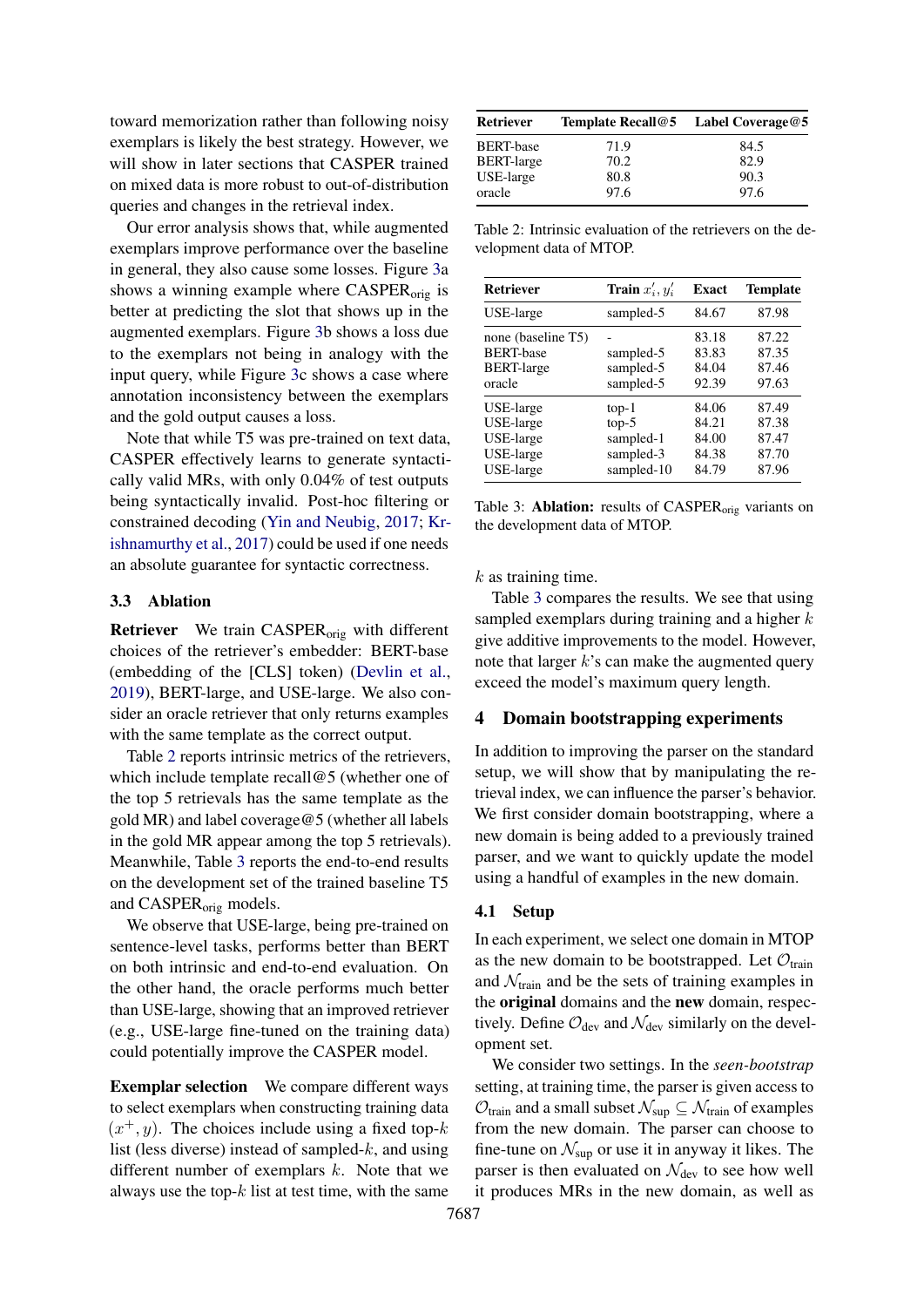toward memorization rather than following noisy exemplars is likely the best strategy. However, we will show in later sections that CASPER trained on mixed data is more robust to out-of-distribution queries and changes in the retrieval index.

Our error analysis shows that, while augmented exemplars improve performance over the baseline in general, they also cause some losses. Figure [3a](#page-3-2) shows a winning example where CASPER<sub>orig</sub> is better at predicting the slot that shows up in the augmented exemplars. Figure [3b](#page-3-2) shows a loss due to the exemplars not being in analogy with the input query, while Figure [3c](#page-3-2) shows a case where annotation inconsistency between the exemplars and the gold output causes a loss.

Note that while T5 was pre-trained on text data, CASPER effectively learns to generate syntactically valid MRs, with only 0.04% of test outputs being syntactically invalid. Post-hoc filtering or constrained decoding [\(Yin and Neubig,](#page-12-1) [2017;](#page-12-1) [Kr](#page-11-5)[ishnamurthy et al.,](#page-11-5) [2017\)](#page-11-5) could be used if one needs an absolute guarantee for syntactic correctness.

### <span id="page-4-3"></span>3.3 Ablation

Retriever We train CASPER<sub>orig</sub> with different choices of the retriever's embedder: BERT-base (embedding of the [CLS] token) [\(Devlin et al.,](#page-9-2) [2019\)](#page-9-2), BERT-large, and USE-large. We also consider an oracle retriever that only returns examples with the same template as the correct output.

Table [2](#page-4-1) reports intrinsic metrics of the retrievers, which include template recall@5 (whether one of the top 5 retrievals has the same template as the gold MR) and label coverage@5 (whether all labels in the gold MR appear among the top 5 retrievals). Meanwhile, Table [3](#page-4-2) reports the end-to-end results on the development set of the trained baseline T5 and CASPERorig models.

We observe that USE-large, being pre-trained on sentence-level tasks, performs better than BERT on both intrinsic and end-to-end evaluation. On the other hand, the oracle performs much better than USE-large, showing that an improved retriever (e.g., USE-large fine-tuned on the training data) could potentially improve the CASPER model.

Exemplar selection We compare different ways to select exemplars when constructing training data  $(x^+, y)$ . The choices include using a fixed top-k list (less diverse) instead of sampled- $k$ , and using different number of exemplars  $k$ . Note that we always use the top- $k$  list at test time, with the same

<span id="page-4-1"></span>

| <b>Retriever</b>  | <b>Template Recall@5</b> | Label Coverage@5 |
|-------------------|--------------------------|------------------|
| <b>BERT-base</b>  | 71.9                     | 84.5             |
| <b>BERT-large</b> | 70.2                     | 82.9             |
| USE-large         | 80.8                     | 90.3             |
| oracle            | 97.6                     | 97.6             |

Table 2: Intrinsic evaluation of the retrievers on the development data of MTOP.

<span id="page-4-2"></span>

| <b>Retriever</b>                                                      | <b>Train</b> $x'_i, y'_i$                                  | <b>Exact</b>                              | <b>Template</b>                           |
|-----------------------------------------------------------------------|------------------------------------------------------------|-------------------------------------------|-------------------------------------------|
| USE-large                                                             | sampled-5                                                  | 84.67                                     | 87.98                                     |
| none (baseline T5)<br><b>BERT-base</b><br><b>BERT-large</b><br>oracle | sampled-5<br>sampled-5<br>sampled-5                        | 83.18<br>83.83<br>84.04<br>92.39          | 87.22<br>87.35<br>87.46<br>97.63          |
| USE-large<br>USE-large<br>USE-large<br>USE-large<br>USE-large         | $top-1$<br>$top-5$<br>sampled-1<br>sampled-3<br>sampled-10 | 84.06<br>84.21<br>84.00<br>84.38<br>84.79 | 87.49<br>87.38<br>87.47<br>87.70<br>87.96 |

Table 3: Ablation: results of  $CASPER<sub>orig</sub>$  variants on the development data of MTOP.

 $k$  as training time.

Table [3](#page-4-2) compares the results. We see that using sampled exemplars during training and a higher  $k$ give additive improvements to the model. However, note that larger  $k$ 's can make the augmented query exceed the model's maximum query length.

# <span id="page-4-0"></span>4 Domain bootstrapping experiments

In addition to improving the parser on the standard setup, we will show that by manipulating the retrieval index, we can influence the parser's behavior. We first consider domain bootstrapping, where a new domain is being added to a previously trained parser, and we want to quickly update the model using a handful of examples in the new domain.

#### 4.1 Setup

In each experiment, we select one domain in MTOP as the new domain to be bootstrapped. Let  $\mathcal{O}_{\text{train}}$ and  $\mathcal{N}_{\text{train}}$  and be the sets of training examples in the original domains and the new domain, respectively. Define  $\mathcal{O}_{\text{dev}}$  and  $\mathcal{N}_{\text{dev}}$  similarly on the development set.

We consider two settings. In the *seen-bootstrap* setting, at training time, the parser is given access to  $\mathcal{O}_{\text{train}}$  and a small subset  $\mathcal{N}_{\text{sup}} \subseteq \mathcal{N}_{\text{train}}$  of examples from the new domain. The parser can choose to fine-tune on  $\mathcal{N}_{\text{sup}}$  or use it in anyway it likes. The parser is then evaluated on  $\mathcal{N}_{dev}$  to see how well it produces MRs in the new domain, as well as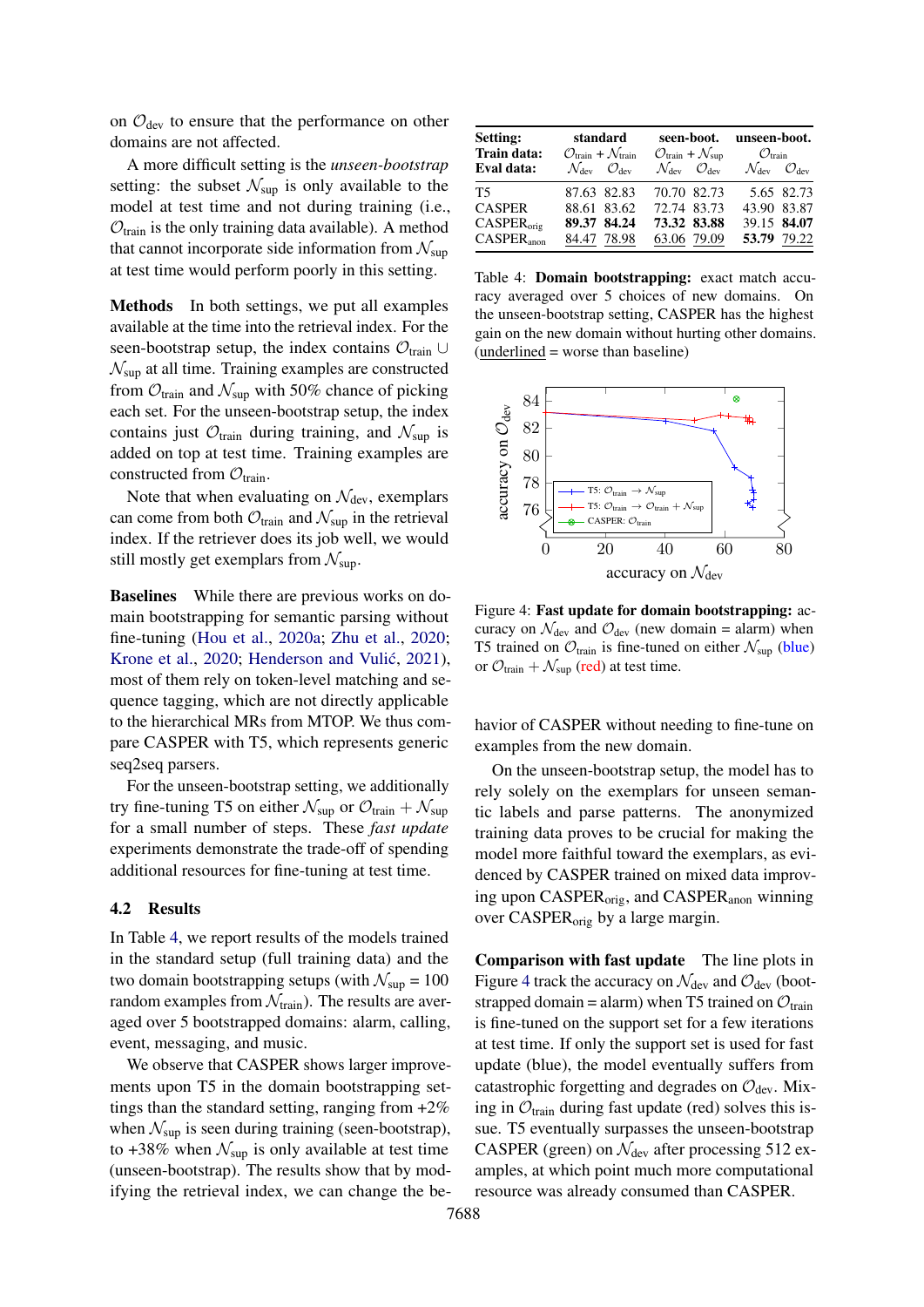on  $\mathcal{O}_{\text{dev}}$  to ensure that the performance on other domains are not affected.

A more difficult setting is the *unseen-bootstrap* setting: the subset  $\mathcal{N}_{\text{sup}}$  is only available to the model at test time and not during training (i.e.,  $\mathcal{O}_{\text{train}}$  is the only training data available). A method that cannot incorporate side information from  $\mathcal{N}_{\text{sup}}$ at test time would perform poorly in this setting.

Methods In both settings, we put all examples available at the time into the retrieval index. For the seen-bootstrap setup, the index contains  $\mathcal{O}_{\text{train}} \cup$  $\mathcal{N}_{\text{sup}}$  at all time. Training examples are constructed from  $\mathcal{O}_{\text{train}}$  and  $\mathcal{N}_{\text{sup}}$  with 50% chance of picking each set. For the unseen-bootstrap setup, the index contains just  $\mathcal{O}_{\text{train}}$  during training, and  $\mathcal{N}_{\text{sup}}$  is added on top at test time. Training examples are constructed from  $\mathcal{O}_{\text{train}}$ .

Note that when evaluating on  $\mathcal{N}_{dev}$ , exemplars can come from both  $\mathcal{O}_{\text{train}}$  and  $\mathcal{N}_{\text{sup}}$  in the retrieval index. If the retriever does its job well, we would still mostly get exemplars from  $\mathcal{N}_{\text{sup}}$ .

Baselines While there are previous works on domain bootstrapping for semantic parsing without fine-tuning [\(Hou et al.,](#page-10-0) [2020a;](#page-10-0) [Zhu et al.,](#page-12-2) [2020;](#page-12-2) [Krone et al.,](#page-11-6) [2020;](#page-11-6) Henderson and Vulić, [2021\)](#page-10-6), most of them rely on token-level matching and sequence tagging, which are not directly applicable to the hierarchical MRs from MTOP. We thus compare CASPER with T5, which represents generic seq2seq parsers.

For the unseen-bootstrap setting, we additionally try fine-tuning T5 on either  $\mathcal{N}_{\text{sup}}$  or  $\mathcal{O}_{\text{train}} + \mathcal{N}_{\text{sup}}$ for a small number of steps. These *fast update* experiments demonstrate the trade-off of spending additional resources for fine-tuning at test time.

#### 4.2 Results

In Table [4,](#page-5-0) we report results of the models trained in the standard setup (full training data) and the two domain bootstrapping setups (with  $\mathcal{N}_{\text{sup}} = 100$ random examples from  $\mathcal{N}_{\text{train}}$ ). The results are averaged over 5 bootstrapped domains: alarm, calling, event, messaging, and music.

We observe that CASPER shows larger improvements upon T5 in the domain bootstrapping settings than the standard setting, ranging from  $+2\%$ when  $\mathcal{N}_{\text{sup}}$  is seen during training (seen-bootstrap), to +38% when  $\mathcal{N}_{\text{sup}}$  is only available at test time (unseen-bootstrap). The results show that by modifying the retrieval index, we can change the be-

<span id="page-5-0"></span>

| <b>Setting:</b><br>Train data: | standard<br>$\mathcal{O}_{\text{train}} + \mathcal{N}_{\text{train}}$ | seen-boot.<br>$\mathcal{O}_{\text{train}} + \mathcal{N}_{\text{sup}}$ | unseen-boot.<br>$\mathcal{O}_{\text{train}}$          |
|--------------------------------|-----------------------------------------------------------------------|-----------------------------------------------------------------------|-------------------------------------------------------|
| Eval data:                     | $\mathcal{N}_{\text{dev}}$ $\mathcal{O}_{\text{dev}}$                 | $\mathcal{N}_{\text{dev}}$ $\mathcal{O}_{\text{dev}}$                 | $\mathcal{N}_{\text{dev}}$ $\mathcal{O}_{\text{dev}}$ |
| T5                             | 87.63 82.83                                                           | 70.70 82.73                                                           | 5.65 82.73                                            |
| <b>CASPER</b>                  | 88.61 83.62                                                           | 72.74 83.73                                                           | 43.90 83.87                                           |
| CASPER <sub>orig</sub>         | 89.37 84.24                                                           | 73.32 83.88                                                           | 39.15 84.07                                           |
| $CASPER_{\text{anon}}$         | 84.47 78.98                                                           | 63.06 79.09                                                           | 53.79 79.22                                           |

Table 4: Domain bootstrapping: exact match accuracy averaged over 5 choices of new domains. On the unseen-bootstrap setting, CASPER has the highest gain on the new domain without hurting other domains. (underlined = worse than baseline)

<span id="page-5-1"></span>

Figure 4: Fast update for domain bootstrapping: accuracy on  $\mathcal{N}_{\text{dev}}$  and  $\mathcal{O}_{\text{dev}}$  (new domain = alarm) when T5 trained on  $\mathcal{O}_{\text{train}}$  is fine-tuned on either  $\mathcal{N}_{\text{sup}}$  (blue) or  $\mathcal{O}_{\text{train}} + \mathcal{N}_{\text{sup}}$  (red) at test time.

havior of CASPER without needing to fine-tune on examples from the new domain.

On the unseen-bootstrap setup, the model has to rely solely on the exemplars for unseen semantic labels and parse patterns. The anonymized training data proves to be crucial for making the model more faithful toward the exemplars, as evidenced by CASPER trained on mixed data improving upon CASPER<sub>orig</sub>, and CASPER<sub>anon</sub> winning over CASPERorig by a large margin.

Comparison with fast update The line plots in Figure [4](#page-5-1) track the accuracy on  $\mathcal{N}_{dev}$  and  $\mathcal{O}_{dev}$  (bootstrapped domain = alarm) when T5 trained on  $\mathcal{O}_{\text{train}}$ is fine-tuned on the support set for a few iterations at test time. If only the support set is used for fast update (blue), the model eventually suffers from catastrophic forgetting and degrades on  $\mathcal{O}_{dev}$ . Mixing in  $\mathcal{O}_{\text{train}}$  during fast update (red) solves this issue. T5 eventually surpasses the unseen-bootstrap CASPER (green) on  $\mathcal{N}_{dev}$  after processing 512 examples, at which point much more computational resource was already consumed than CASPER.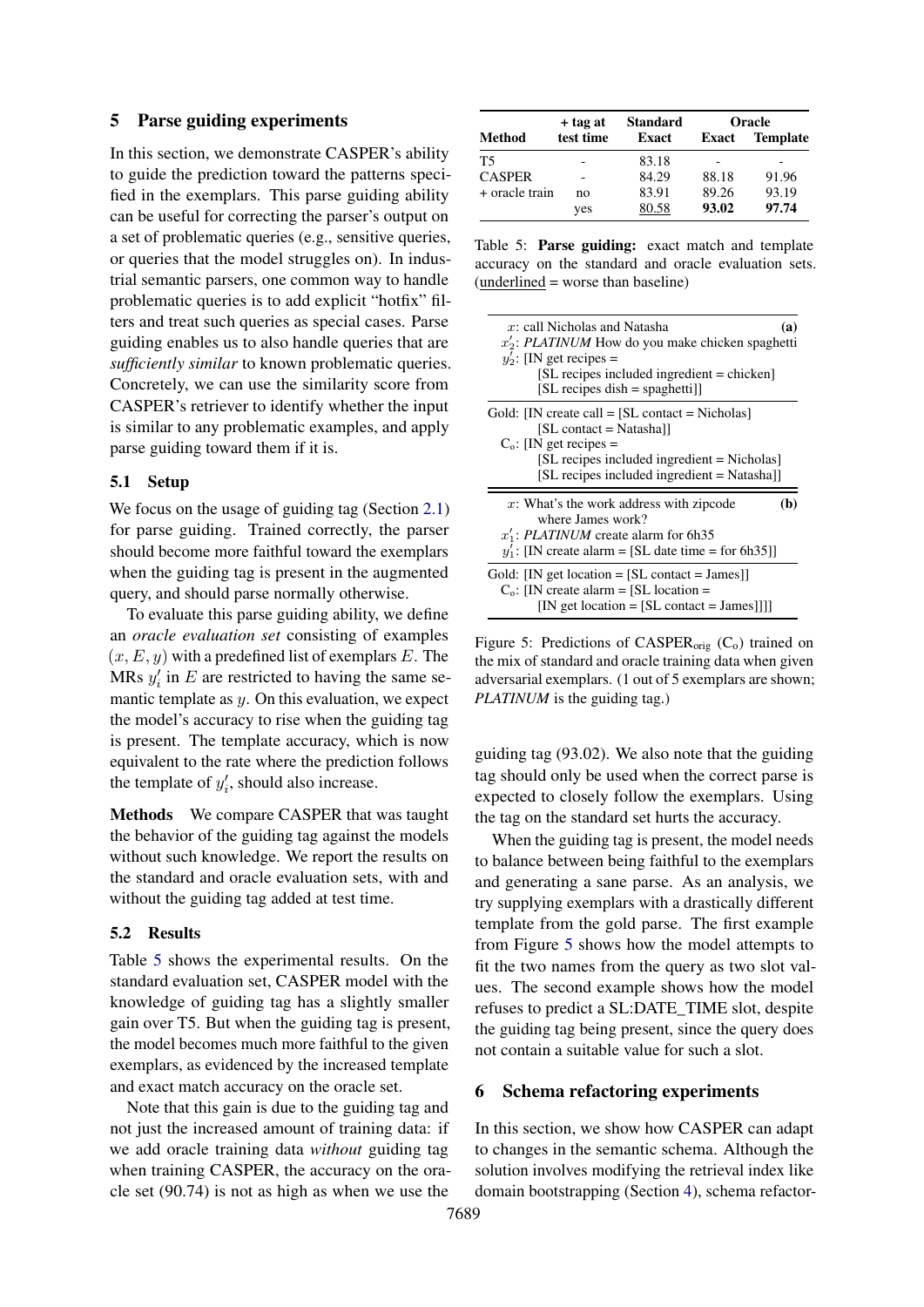### <span id="page-6-0"></span>5 Parse guiding experiments

In this section, we demonstrate CASPER's ability to guide the prediction toward the patterns specified in the exemplars. This parse guiding ability can be useful for correcting the parser's output on a set of problematic queries (e.g., sensitive queries, or queries that the model struggles on). In industrial semantic parsers, one common way to handle problematic queries is to add explicit "hotfix" filters and treat such queries as special cases. Parse guiding enables us to also handle queries that are *sufficiently similar* to known problematic queries. Concretely, we can use the similarity score from CASPER's retriever to identify whether the input is similar to any problematic examples, and apply parse guiding toward them if it is.

#### 5.1 Setup

We focus on the usage of guiding tag (Section [2.1\)](#page-2-2) for parse guiding. Trained correctly, the parser should become more faithful toward the exemplars when the guiding tag is present in the augmented query, and should parse normally otherwise.

To evaluate this parse guiding ability, we define an *oracle evaluation set* consisting of examples  $(x, E, y)$  with a predefined list of exemplars E. The MRs  $y_i'$  in E are restricted to having the same semantic template as  $y$ . On this evaluation, we expect the model's accuracy to rise when the guiding tag is present. The template accuracy, which is now equivalent to the rate where the prediction follows the template of  $y_i'$ , should also increase.

Methods We compare CASPER that was taught the behavior of the guiding tag against the models without such knowledge. We report the results on the standard and oracle evaluation sets, with and without the guiding tag added at test time.

#### 5.2 Results

Table [5](#page-6-2) shows the experimental results. On the standard evaluation set, CASPER model with the knowledge of guiding tag has a slightly smaller gain over T5. But when the guiding tag is present, the model becomes much more faithful to the given exemplars, as evidenced by the increased template and exact match accuracy on the oracle set.

Note that this gain is due to the guiding tag and not just the increased amount of training data: if we add oracle training data *without* guiding tag when training CASPER, the accuracy on the oracle set (90.74) is not as high as when we use the

<span id="page-6-2"></span>

|                  | $+$ tag at | <b>Standard</b> | Oracle |                 |
|------------------|------------|-----------------|--------|-----------------|
| Method           | test time  | Exact           | Exact  | <b>Template</b> |
| T5               |            | 83.18           |        |                 |
| <b>CASPER</b>    |            | 84.29           | 88.18  | 91.96           |
| $+$ oracle train | no         | 83.91           | 89.26  | 93.19           |
|                  | yes        | 80.58           | 93.02  | 97.74           |

Table 5: Parse guiding: exact match and template accuracy on the standard and oracle evaluation sets. (underlined = worse than baseline)

<span id="page-6-3"></span>

| $x$ : call Nicholas and Natasha<br>$x_2$ : PLATINUM How do you make chicken spaghetti<br>$y_2'$ : [IN get recipes =<br>[SL recipes included ingredient = chicken]<br>$[SL$ recipes dish = spaghetti]                      | (a) |
|---------------------------------------------------------------------------------------------------------------------------------------------------------------------------------------------------------------------------|-----|
| Gold: [IN create call $=$ [SL contact $=$ Nicholas]<br>$[SL \text{ contact} = \text{Natasha}]$<br>$C_0$ : [IN get recipes =<br>[SL recipes included ingredient = Nicholas]<br>[SL recipes included ingredient = Natasha]] |     |
| x: What's the work address with zipcode<br>where James work?<br>$x_1$ : PLATINUM create alarm for 6h35<br>$y_1'$ : [IN create alarm = [SL date time = for 6h35]]                                                          | 'b) |
| Gold: [IN get location $=$ [SL contact $=$ James]]<br>$C_0$ : [IN create alarm = [SL location =<br>$[IN get location = [SL contact = James]]]$                                                                            |     |

Figure 5: Predictions of CASPER<sub>orig</sub>  $(C_0)$  trained on the mix of standard and oracle training data when given adversarial exemplars. (1 out of 5 exemplars are shown; *PLATINUM* is the guiding tag.)

guiding tag (93.02). We also note that the guiding tag should only be used when the correct parse is expected to closely follow the exemplars. Using the tag on the standard set hurts the accuracy.

When the guiding tag is present, the model needs to balance between being faithful to the exemplars and generating a sane parse. As an analysis, we try supplying exemplars with a drastically different template from the gold parse. The first example from Figure [5](#page-6-3) shows how the model attempts to fit the two names from the query as two slot values. The second example shows how the model refuses to predict a SL:DATE\_TIME slot, despite the guiding tag being present, since the query does not contain a suitable value for such a slot.

### <span id="page-6-1"></span>6 Schema refactoring experiments

In this section, we show how CASPER can adapt to changes in the semantic schema. Although the solution involves modifying the retrieval index like domain bootstrapping (Section [4\)](#page-4-0), schema refactor-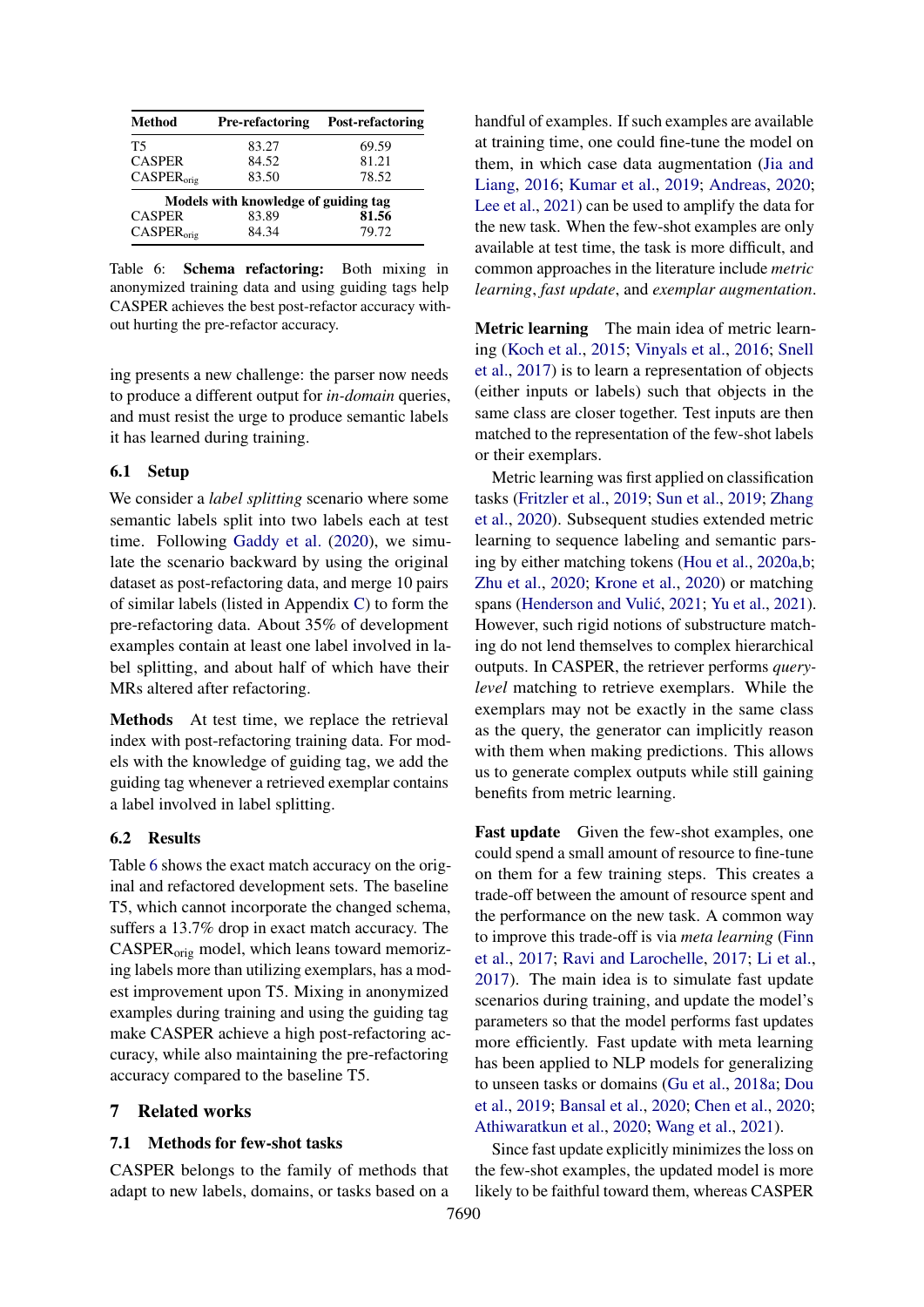<span id="page-7-0"></span>

| <b>Method</b>          | <b>Pre-refactoring</b>               | Post-refactoring |
|------------------------|--------------------------------------|------------------|
| T5                     | 83.27                                | 69.59            |
| <b>CASPER</b>          | 84.52                                | 81.21            |
| CASPER <sub>orig</sub> | 83.50                                | 78.52            |
|                        | Models with knowledge of guiding tag |                  |
| <b>CASPER</b>          | 83.89                                | 81.56            |
| CASPER <sub>orio</sub> | 84.34                                | 79.72            |

Table 6: Schema refactoring: Both mixing in anonymized training data and using guiding tags help CASPER achieves the best post-refactor accuracy without hurting the pre-refactor accuracy.

ing presents a new challenge: the parser now needs to produce a different output for *in-domain* queries, and must resist the urge to produce semantic labels it has learned during training.

### 6.1 Setup

We consider a *label splitting* scenario where some semantic labels split into two labels each at test time. Following [Gaddy et al.](#page-10-1) [\(2020\)](#page-10-1), we simulate the scenario backward by using the original dataset as post-refactoring data, and merge 10 pairs of similar labels (listed in Appendix [C\)](#page-13-0) to form the pre-refactoring data. About 35% of development examples contain at least one label involved in label splitting, and about half of which have their MRs altered after refactoring.

Methods At test time, we replace the retrieval index with post-refactoring training data. For models with the knowledge of guiding tag, we add the guiding tag whenever a retrieved exemplar contains a label involved in label splitting.

### 6.2 Results

Table [6](#page-7-0) shows the exact match accuracy on the original and refactored development sets. The baseline T5, which cannot incorporate the changed schema, suffers a 13.7% drop in exact match accuracy. The CASPERorig model, which leans toward memorizing labels more than utilizing exemplars, has a modest improvement upon T5. Mixing in anonymized examples during training and using the guiding tag make CASPER achieve a high post-refactoring accuracy, while also maintaining the pre-refactoring accuracy compared to the baseline T5.

### 7 Related works

#### 7.1 Methods for few-shot tasks

CASPER belongs to the family of methods that adapt to new labels, domains, or tasks based on a handful of examples. If such examples are available at training time, one could fine-tune the model on them, in which case data augmentation [\(Jia and](#page-10-7) [Liang,](#page-10-7) [2016;](#page-10-7) [Kumar et al.,](#page-11-7) [2019;](#page-11-7) [Andreas,](#page-9-3) [2020;](#page-9-3) [Lee et al.,](#page-11-8) [2021\)](#page-11-8) can be used to amplify the data for the new task. When the few-shot examples are only available at test time, the task is more difficult, and common approaches in the literature include *metric learning*, *fast update*, and *exemplar augmentation*.

Metric learning The main idea of metric learning [\(Koch et al.,](#page-10-8) [2015;](#page-10-8) [Vinyals et al.,](#page-12-3) [2016;](#page-12-3) [Snell](#page-12-4) [et al.,](#page-12-4) [2017\)](#page-12-4) is to learn a representation of objects (either inputs or labels) such that objects in the same class are closer together. Test inputs are then matched to the representation of the few-shot labels or their exemplars.

Metric learning was first applied on classification tasks [\(Fritzler et al.,](#page-10-9) [2019;](#page-10-9) [Sun et al.,](#page-12-5) [2019;](#page-12-5) [Zhang](#page-12-6) [et al.,](#page-12-6) [2020\)](#page-12-6). Subsequent studies extended metric learning to sequence labeling and semantic parsing by either matching tokens [\(Hou et al.,](#page-10-0) [2020a](#page-10-0)[,b;](#page-10-10) [Zhu et al.,](#page-12-2) [2020;](#page-12-2) [Krone et al.,](#page-11-6) [2020\)](#page-11-6) or matching spans (Henderson and Vulić, [2021;](#page-10-6) [Yu et al.,](#page-12-7) [2021\)](#page-12-7). However, such rigid notions of substructure matching do not lend themselves to complex hierarchical outputs. In CASPER, the retriever performs *querylevel* matching to retrieve exemplars. While the exemplars may not be exactly in the same class as the query, the generator can implicitly reason with them when making predictions. This allows us to generate complex outputs while still gaining benefits from metric learning.

Fast update Given the few-shot examples, one could spend a small amount of resource to fine-tune on them for a few training steps. This creates a trade-off between the amount of resource spent and the performance on the new task. A common way to improve this trade-off is via *meta learning* [\(Finn](#page-9-4) [et al.,](#page-9-4) [2017;](#page-9-4) [Ravi and Larochelle,](#page-11-9) [2017;](#page-11-9) [Li et al.,](#page-11-10) [2017\)](#page-11-10). The main idea is to simulate fast update scenarios during training, and update the model's parameters so that the model performs fast updates more efficiently. Fast update with meta learning has been applied to NLP models for generalizing to unseen tasks or domains [\(Gu et al.,](#page-10-11) [2018a;](#page-10-11) [Dou](#page-9-5) [et al.,](#page-9-5) [2019;](#page-9-5) [Bansal et al.,](#page-9-6) [2020;](#page-9-6) [Chen et al.,](#page-9-7) [2020;](#page-9-7) [Athiwaratkun et al.,](#page-9-8) [2020;](#page-9-8) [Wang et al.,](#page-12-8) [2021\)](#page-12-8).

Since fast update explicitly minimizes the loss on the few-shot examples, the updated model is more likely to be faithful toward them, whereas CASPER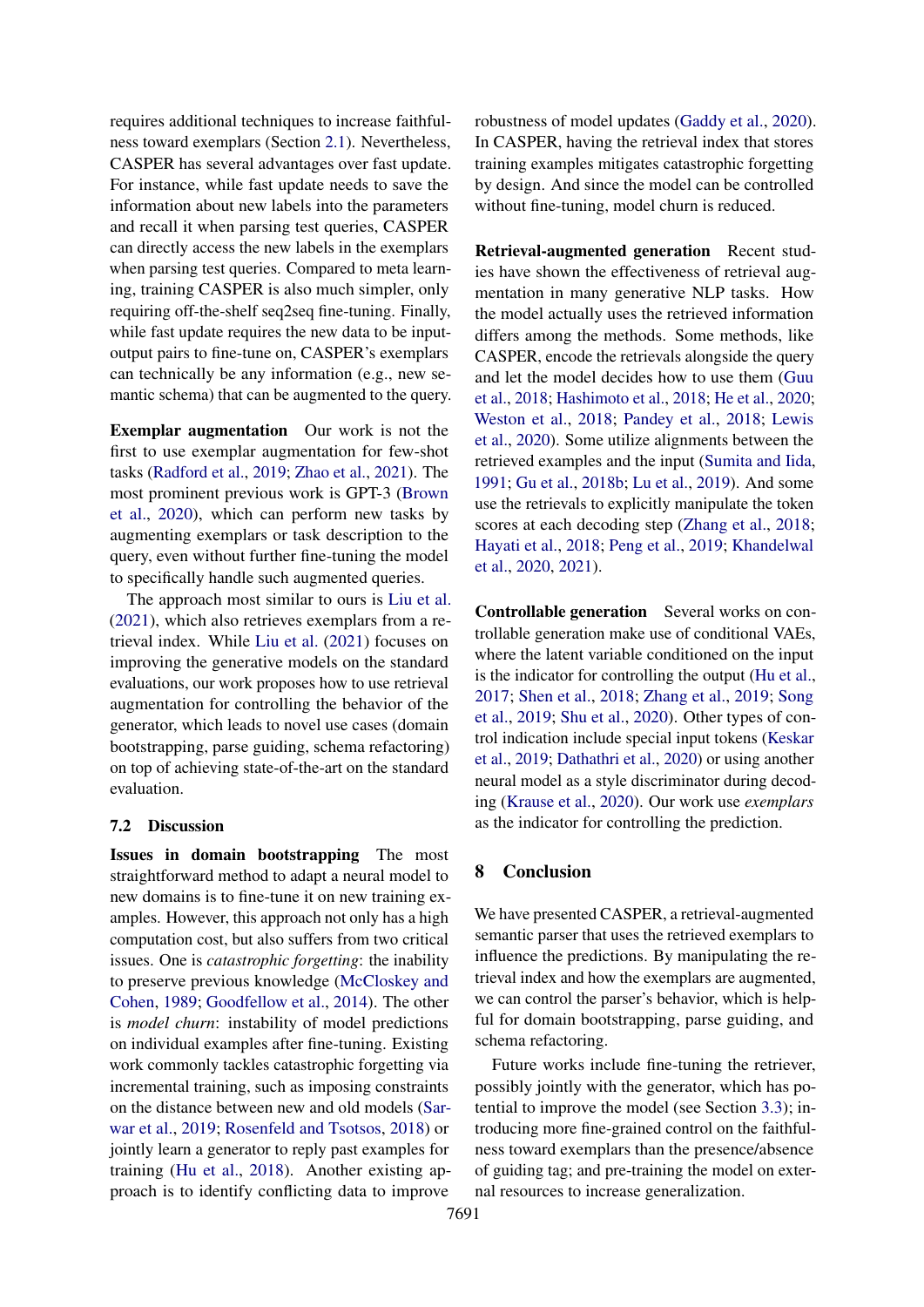requires additional techniques to increase faithfulness toward exemplars (Section [2.1\)](#page-2-2). Nevertheless, CASPER has several advantages over fast update. For instance, while fast update needs to save the information about new labels into the parameters and recall it when parsing test queries, CASPER can directly access the new labels in the exemplars when parsing test queries. Compared to meta learning, training CASPER is also much simpler, only requiring off-the-shelf seq2seq fine-tuning. Finally, while fast update requires the new data to be inputoutput pairs to fine-tune on, CASPER's exemplars can technically be any information (e.g., new semantic schema) that can be augmented to the query.

Exemplar augmentation Our work is not the first to use exemplar augmentation for few-shot tasks [\(Radford et al.,](#page-11-11) [2019;](#page-11-11) [Zhao et al.,](#page-12-9) [2021\)](#page-12-9). The most prominent previous work is GPT-3 [\(Brown](#page-9-0) [et al.,](#page-9-0) [2020\)](#page-9-0), which can perform new tasks by augmenting exemplars or task description to the query, even without further fine-tuning the model to specifically handle such augmented queries.

The approach most similar to ours is [Liu et al.](#page-11-1) [\(2021\)](#page-11-1), which also retrieves exemplars from a retrieval index. While [Liu et al.](#page-11-1) [\(2021\)](#page-11-1) focuses on improving the generative models on the standard evaluations, our work proposes how to use retrieval augmentation for controlling the behavior of the generator, which leads to novel use cases (domain bootstrapping, parse guiding, schema refactoring) on top of achieving state-of-the-art on the standard evaluation.

#### 7.2 Discussion

Issues in domain bootstrapping The most straightforward method to adapt a neural model to new domains is to fine-tune it on new training examples. However, this approach not only has a high computation cost, but also suffers from two critical issues. One is *catastrophic forgetting*: the inability to preserve previous knowledge [\(McCloskey and](#page-11-12) [Cohen,](#page-11-12) [1989;](#page-11-12) [Goodfellow et al.,](#page-10-12) [2014\)](#page-10-12). The other is *model churn*: instability of model predictions on individual examples after fine-tuning. Existing work commonly tackles catastrophic forgetting via incremental training, such as imposing constraints on the distance between new and old models [\(Sar](#page-11-13)[war et al.,](#page-11-13) [2019;](#page-11-13) [Rosenfeld and Tsotsos,](#page-11-14) [2018\)](#page-11-14) or jointly learn a generator to reply past examples for training [\(Hu et al.,](#page-10-13) [2018\)](#page-10-13). Another existing approach is to identify conflicting data to improve

robustness of model updates [\(Gaddy et al.,](#page-10-1) [2020\)](#page-10-1). In CASPER, having the retrieval index that stores training examples mitigates catastrophic forgetting by design. And since the model can be controlled without fine-tuning, model churn is reduced.

Retrieval-augmented generation Recent studies have shown the effectiveness of retrieval augmentation in many generative NLP tasks. How the model actually uses the retrieved information differs among the methods. Some methods, like CASPER, encode the retrievals alongside the query and let the model decides how to use them [\(Guu](#page-10-4) [et al.,](#page-10-4) [2018;](#page-10-4) [Hashimoto et al.,](#page-10-14) [2018;](#page-10-14) [He et al.,](#page-10-15) [2020;](#page-10-15) [Weston et al.,](#page-12-10) [2018;](#page-12-10) [Pandey et al.,](#page-11-15) [2018;](#page-11-15) [Lewis](#page-11-3) [et al.,](#page-11-3) [2020\)](#page-11-3). Some utilize alignments between the retrieved examples and the input [\(Sumita and Iida,](#page-12-11) [1991;](#page-12-11) [Gu et al.,](#page-10-16) [2018b;](#page-10-16) [Lu et al.,](#page-11-16) [2019\)](#page-11-16). And some use the retrievals to explicitly manipulate the token scores at each decoding step [\(Zhang et al.,](#page-12-12) [2018;](#page-12-12) [Hayati et al.,](#page-10-17) [2018;](#page-10-17) [Peng et al.,](#page-11-17) [2019;](#page-11-17) [Khandelwal](#page-10-2) [et al.,](#page-10-2) [2020,](#page-10-2) [2021\)](#page-10-3).

Controllable generation Several works on controllable generation make use of conditional VAEs, where the latent variable conditioned on the input is the indicator for controlling the output [\(Hu et al.,](#page-10-18) [2017;](#page-10-18) [Shen et al.,](#page-11-18) [2018;](#page-11-18) [Zhang et al.,](#page-12-13) [2019;](#page-12-13) [Song](#page-12-14) [et al.,](#page-12-14) [2019;](#page-12-14) [Shu et al.,](#page-12-15) [2020\)](#page-12-15). Other types of control indication include special input tokens [\(Keskar](#page-10-19) [et al.,](#page-10-19) [2019;](#page-10-19) [Dathathri et al.,](#page-9-9) [2020\)](#page-9-9) or using another neural model as a style discriminator during decoding [\(Krause et al.,](#page-11-19) [2020\)](#page-11-19). Our work use *exemplars* as the indicator for controlling the prediction.

### 8 Conclusion

We have presented CASPER, a retrieval-augmented semantic parser that uses the retrieved exemplars to influence the predictions. By manipulating the retrieval index and how the exemplars are augmented, we can control the parser's behavior, which is helpful for domain bootstrapping, parse guiding, and schema refactoring.

Future works include fine-tuning the retriever, possibly jointly with the generator, which has potential to improve the model (see Section [3.3\)](#page-4-3); introducing more fine-grained control on the faithfulness toward exemplars than the presence/absence of guiding tag; and pre-training the model on external resources to increase generalization.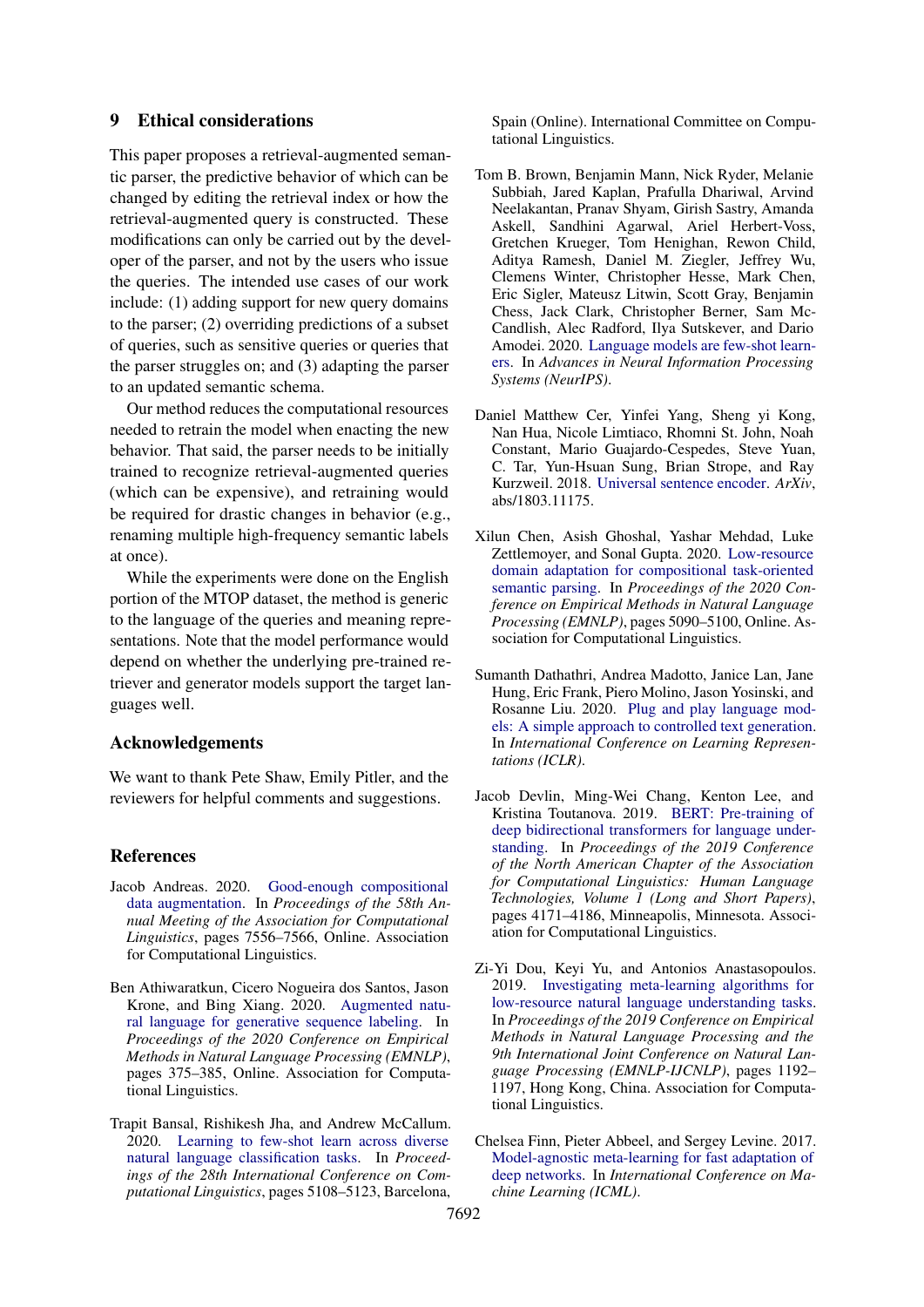### 9 Ethical considerations

This paper proposes a retrieval-augmented semantic parser, the predictive behavior of which can be changed by editing the retrieval index or how the retrieval-augmented query is constructed. These modifications can only be carried out by the developer of the parser, and not by the users who issue the queries. The intended use cases of our work include: (1) adding support for new query domains to the parser; (2) overriding predictions of a subset of queries, such as sensitive queries or queries that the parser struggles on; and (3) adapting the parser to an updated semantic schema.

Our method reduces the computational resources needed to retrain the model when enacting the new behavior. That said, the parser needs to be initially trained to recognize retrieval-augmented queries (which can be expensive), and retraining would be required for drastic changes in behavior (e.g., renaming multiple high-frequency semantic labels at once).

While the experiments were done on the English portion of the MTOP dataset, the method is generic to the language of the queries and meaning representations. Note that the model performance would depend on whether the underlying pre-trained retriever and generator models support the target languages well.

## Acknowledgements

We want to thank Pete Shaw, Emily Pitler, and the reviewers for helpful comments and suggestions.

#### References

- <span id="page-9-3"></span>Jacob Andreas. 2020. [Good-enough compositional](https://doi.org/10.18653/v1/2020.acl-main.676) [data augmentation.](https://doi.org/10.18653/v1/2020.acl-main.676) In *Proceedings of the 58th Annual Meeting of the Association for Computational Linguistics*, pages 7556–7566, Online. Association for Computational Linguistics.
- <span id="page-9-8"></span>Ben Athiwaratkun, Cicero Nogueira dos Santos, Jason Krone, and Bing Xiang. 2020. [Augmented natu](https://doi.org/10.18653/v1/2020.emnlp-main.27)[ral language for generative sequence labeling.](https://doi.org/10.18653/v1/2020.emnlp-main.27) In *Proceedings of the 2020 Conference on Empirical Methods in Natural Language Processing (EMNLP)*, pages 375–385, Online. Association for Computational Linguistics.
- <span id="page-9-6"></span>Trapit Bansal, Rishikesh Jha, and Andrew McCallum. 2020. [Learning to few-shot learn across diverse](https://doi.org/10.18653/v1/2020.coling-main.448) [natural language classification tasks.](https://doi.org/10.18653/v1/2020.coling-main.448) In *Proceedings of the 28th International Conference on Computational Linguistics*, pages 5108–5123, Barcelona,

Spain (Online). International Committee on Computational Linguistics.

- <span id="page-9-0"></span>Tom B. Brown, Benjamin Mann, Nick Ryder, Melanie Subbiah, Jared Kaplan, Prafulla Dhariwal, Arvind Neelakantan, Pranav Shyam, Girish Sastry, Amanda Askell, Sandhini Agarwal, Ariel Herbert-Voss, Gretchen Krueger, Tom Henighan, Rewon Child, Aditya Ramesh, Daniel M. Ziegler, Jeffrey Wu, Clemens Winter, Christopher Hesse, Mark Chen, Eric Sigler, Mateusz Litwin, Scott Gray, Benjamin Chess, Jack Clark, Christopher Berner, Sam Mc-Candlish, Alec Radford, Ilya Sutskever, and Dario Amodei. 2020. [Language models are few-shot learn](https://proceedings.neurips.cc/paper/2020/hash/1457c0d6bfcb4967418bfb8ac142f64a-Abstract.html)[ers.](https://proceedings.neurips.cc/paper/2020/hash/1457c0d6bfcb4967418bfb8ac142f64a-Abstract.html) In *Advances in Neural Information Processing Systems (NeurIPS)*.
- <span id="page-9-1"></span>Daniel Matthew Cer, Yinfei Yang, Sheng yi Kong, Nan Hua, Nicole Limtiaco, Rhomni St. John, Noah Constant, Mario Guajardo-Cespedes, Steve Yuan, C. Tar, Yun-Hsuan Sung, Brian Strope, and Ray Kurzweil. 2018. [Universal sentence encoder.](http://arxiv.org/abs/1803.11175) *ArXiv*, abs/1803.11175.
- <span id="page-9-7"></span>Xilun Chen, Asish Ghoshal, Yashar Mehdad, Luke Zettlemoyer, and Sonal Gupta. 2020. [Low-resource](https://doi.org/10.18653/v1/2020.emnlp-main.413) [domain adaptation for compositional task-oriented](https://doi.org/10.18653/v1/2020.emnlp-main.413) [semantic parsing.](https://doi.org/10.18653/v1/2020.emnlp-main.413) In *Proceedings of the 2020 Conference on Empirical Methods in Natural Language Processing (EMNLP)*, pages 5090–5100, Online. Association for Computational Linguistics.
- <span id="page-9-9"></span>Sumanth Dathathri, Andrea Madotto, Janice Lan, Jane Hung, Eric Frank, Piero Molino, Jason Yosinski, and Rosanne Liu. 2020. [Plug and play language mod](https://openreview.net/forum?id=H1edEyBKDS)[els: A simple approach to controlled text generation.](https://openreview.net/forum?id=H1edEyBKDS) In *International Conference on Learning Representations (ICLR)*.
- <span id="page-9-2"></span>Jacob Devlin, Ming-Wei Chang, Kenton Lee, and Kristina Toutanova. 2019. [BERT: Pre-training of](https://doi.org/10.18653/v1/N19-1423) [deep bidirectional transformers for language under](https://doi.org/10.18653/v1/N19-1423)[standing.](https://doi.org/10.18653/v1/N19-1423) In *Proceedings of the 2019 Conference of the North American Chapter of the Association for Computational Linguistics: Human Language Technologies, Volume 1 (Long and Short Papers)*, pages 4171–4186, Minneapolis, Minnesota. Association for Computational Linguistics.
- <span id="page-9-5"></span>Zi-Yi Dou, Keyi Yu, and Antonios Anastasopoulos. 2019. [Investigating meta-learning algorithms for](https://doi.org/10.18653/v1/D19-1112) [low-resource natural language understanding tasks.](https://doi.org/10.18653/v1/D19-1112) In *Proceedings of the 2019 Conference on Empirical Methods in Natural Language Processing and the 9th International Joint Conference on Natural Language Processing (EMNLP-IJCNLP)*, pages 1192– 1197, Hong Kong, China. Association for Computational Linguistics.
- <span id="page-9-4"></span>Chelsea Finn, Pieter Abbeel, and Sergey Levine. 2017. [Model-agnostic meta-learning for fast adaptation of](http://proceedings.mlr.press/v70/finn17a.html) [deep networks.](http://proceedings.mlr.press/v70/finn17a.html) In *International Conference on Machine Learning (ICML)*.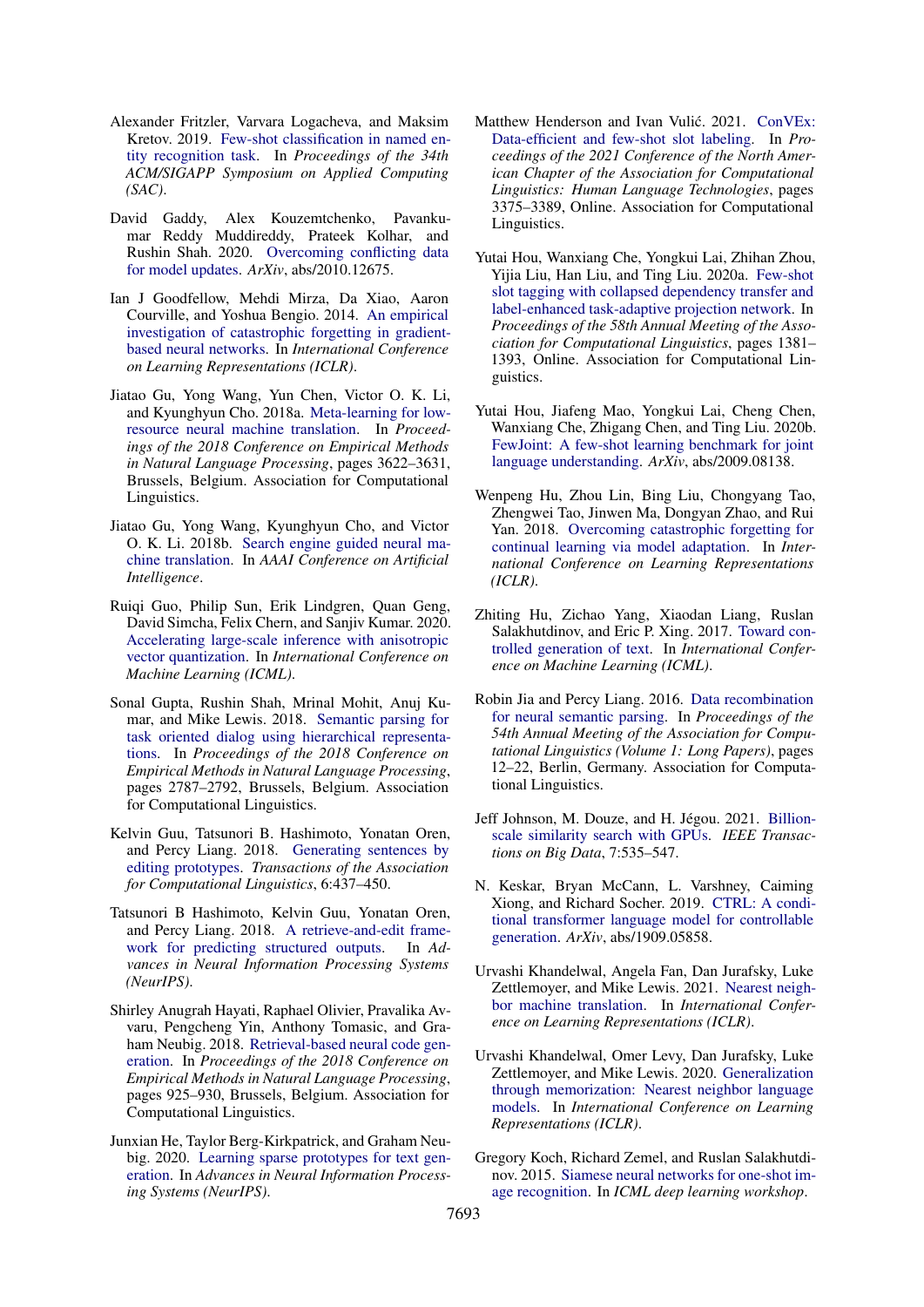- <span id="page-10-9"></span>Alexander Fritzler, Varvara Logacheva, and Maksim Kretov. 2019. [Few-shot classification in named en](https://doi.org/10.1145/3297280.3297378)[tity recognition task.](https://doi.org/10.1145/3297280.3297378) In *Proceedings of the 34th ACM/SIGAPP Symposium on Applied Computing (SAC)*.
- <span id="page-10-1"></span>David Gaddy, Alex Kouzemtchenko, Pavankumar Reddy Muddireddy, Prateek Kolhar, and Rushin Shah. 2020. [Overcoming conflicting data](https://arxiv.org/abs/2010.12675) [for model updates.](https://arxiv.org/abs/2010.12675) *ArXiv*, abs/2010.12675.
- <span id="page-10-12"></span>Ian J Goodfellow, Mehdi Mirza, Da Xiao, Aaron Courville, and Yoshua Bengio. 2014. [An empirical](https://arxiv.org/abs/1312.6211) [investigation of catastrophic forgetting in gradient](https://arxiv.org/abs/1312.6211)[based neural networks.](https://arxiv.org/abs/1312.6211) In *International Conference on Learning Representations (ICLR)*.
- <span id="page-10-11"></span>Jiatao Gu, Yong Wang, Yun Chen, Victor O. K. Li, and Kyunghyun Cho. 2018a. [Meta-learning for low](https://doi.org/10.18653/v1/D18-1398)[resource neural machine translation.](https://doi.org/10.18653/v1/D18-1398) In *Proceedings of the 2018 Conference on Empirical Methods in Natural Language Processing*, pages 3622–3631, Brussels, Belgium. Association for Computational Linguistics.
- <span id="page-10-16"></span>Jiatao Gu, Yong Wang, Kyunghyun Cho, and Victor O. K. Li. 2018b. [Search engine guided neural ma](https://www.aaai.org/ocs/index.php/AAAI/AAAI18/paper/view/17282)[chine translation.](https://www.aaai.org/ocs/index.php/AAAI/AAAI18/paper/view/17282) In *AAAI Conference on Artificial Intelligence*.
- <span id="page-10-21"></span>Ruiqi Guo, Philip Sun, Erik Lindgren, Quan Geng, David Simcha, Felix Chern, and Sanjiv Kumar. 2020. [Accelerating large-scale inference with anisotropic](http://proceedings.mlr.press/v119/guo20h.html) [vector quantization.](http://proceedings.mlr.press/v119/guo20h.html) In *International Conference on Machine Learning (ICML)*.
- <span id="page-10-5"></span>Sonal Gupta, Rushin Shah, Mrinal Mohit, Anuj Kumar, and Mike Lewis. 2018. [Semantic parsing for](https://doi.org/10.18653/v1/D18-1300) [task oriented dialog using hierarchical representa](https://doi.org/10.18653/v1/D18-1300)[tions.](https://doi.org/10.18653/v1/D18-1300) In *Proceedings of the 2018 Conference on Empirical Methods in Natural Language Processing*, pages 2787–2792, Brussels, Belgium. Association for Computational Linguistics.
- <span id="page-10-4"></span>Kelvin Guu, Tatsunori B. Hashimoto, Yonatan Oren, and Percy Liang. 2018. [Generating sentences by](https://doi.org/10.1162/tacl_a_00030) [editing prototypes.](https://doi.org/10.1162/tacl_a_00030) *Transactions of the Association for Computational Linguistics*, 6:437–450.
- <span id="page-10-14"></span>Tatsunori B Hashimoto, Kelvin Guu, Yonatan Oren, and Percy Liang. 2018. [A retrieve-and-edit frame](https://proceedings.neurips.cc/paper/2018/hash/cd17d3ce3b64f227987cd92cd701cc58-Abstract.html)[work for predicting structured outputs.](https://proceedings.neurips.cc/paper/2018/hash/cd17d3ce3b64f227987cd92cd701cc58-Abstract.html) In *Advances in Neural Information Processing Systems (NeurIPS)*.
- <span id="page-10-17"></span>Shirley Anugrah Hayati, Raphael Olivier, Pravalika Avvaru, Pengcheng Yin, Anthony Tomasic, and Graham Neubig. 2018. [Retrieval-based neural code gen](https://doi.org/10.18653/v1/D18-1111)[eration.](https://doi.org/10.18653/v1/D18-1111) In *Proceedings of the 2018 Conference on Empirical Methods in Natural Language Processing*, pages 925–930, Brussels, Belgium. Association for Computational Linguistics.
- <span id="page-10-15"></span>Junxian He, Taylor Berg-Kirkpatrick, and Graham Neubig. 2020. [Learning sparse prototypes for text gen](https://proceedings.neurips.cc/paper/2020/hash/a8ef1979aeec2737ae3830ec543ed0df-Abstract.html)[eration.](https://proceedings.neurips.cc/paper/2020/hash/a8ef1979aeec2737ae3830ec543ed0df-Abstract.html) In *Advances in Neural Information Processing Systems (NeurIPS)*.
- <span id="page-10-6"></span>Matthew Henderson and Ivan Vulić. 2021. [ConVEx:](https://doi.org/10.18653/v1/2021.naacl-main.264) [Data-efficient and few-shot slot labeling.](https://doi.org/10.18653/v1/2021.naacl-main.264) In *Proceedings of the 2021 Conference of the North American Chapter of the Association for Computational Linguistics: Human Language Technologies*, pages 3375–3389, Online. Association for Computational Linguistics.
- <span id="page-10-0"></span>Yutai Hou, Wanxiang Che, Yongkui Lai, Zhihan Zhou, Yijia Liu, Han Liu, and Ting Liu. 2020a. [Few-shot](https://doi.org/10.18653/v1/2020.acl-main.128) [slot tagging with collapsed dependency transfer and](https://doi.org/10.18653/v1/2020.acl-main.128) [label-enhanced task-adaptive projection network.](https://doi.org/10.18653/v1/2020.acl-main.128) In *Proceedings of the 58th Annual Meeting of the Association for Computational Linguistics*, pages 1381– 1393, Online. Association for Computational Linguistics.
- <span id="page-10-10"></span>Yutai Hou, Jiafeng Mao, Yongkui Lai, Cheng Chen, Wanxiang Che, Zhigang Chen, and Ting Liu. 2020b. [FewJoint: A few-shot learning benchmark for joint](https://arxiv.org/abs/2009.08138) [language understanding.](https://arxiv.org/abs/2009.08138) *ArXiv*, abs/2009.08138.
- <span id="page-10-13"></span>Wenpeng Hu, Zhou Lin, Bing Liu, Chongyang Tao, Zhengwei Tao, Jinwen Ma, Dongyan Zhao, and Rui Yan. 2018. [Overcoming catastrophic forgetting for](https://openreview.net/forum?id=ryGvcoA5YX) [continual learning via model adaptation.](https://openreview.net/forum?id=ryGvcoA5YX) In *International Conference on Learning Representations (ICLR)*.
- <span id="page-10-18"></span>Zhiting Hu, Zichao Yang, Xiaodan Liang, Ruslan Salakhutdinov, and Eric P. Xing. 2017. [Toward con](http://proceedings.mlr.press/v70/hu17e.html)[trolled generation of text.](http://proceedings.mlr.press/v70/hu17e.html) In *International Conference on Machine Learning (ICML)*.
- <span id="page-10-7"></span>Robin Jia and Percy Liang. 2016. [Data recombination](https://doi.org/10.18653/v1/P16-1002) [for neural semantic parsing.](https://doi.org/10.18653/v1/P16-1002) In *Proceedings of the 54th Annual Meeting of the Association for Computational Linguistics (Volume 1: Long Papers)*, pages 12–22, Berlin, Germany. Association for Computational Linguistics.
- <span id="page-10-20"></span>Jeff Johnson, M. Douze, and H. Jégou. 2021. [Billion](https://doi.org/10.1109/TBDATA.2019.2921572)[scale similarity search with GPUs.](https://doi.org/10.1109/TBDATA.2019.2921572) *IEEE Transactions on Big Data*, 7:535–547.
- <span id="page-10-19"></span>N. Keskar, Bryan McCann, L. Varshney, Caiming Xiong, and Richard Socher. 2019. [CTRL: A condi](http://arxiv.org/abs/1909.05858)[tional transformer language model for controllable](http://arxiv.org/abs/1909.05858) [generation.](http://arxiv.org/abs/1909.05858) *ArXiv*, abs/1909.05858.
- <span id="page-10-3"></span>Urvashi Khandelwal, Angela Fan, Dan Jurafsky, Luke Zettlemoyer, and Mike Lewis. 2021. [Nearest neigh](https://openreview.net/forum?id=7wCBOfJ8hJM)[bor machine translation.](https://openreview.net/forum?id=7wCBOfJ8hJM) In *International Conference on Learning Representations (ICLR)*.
- <span id="page-10-2"></span>Urvashi Khandelwal, Omer Levy, Dan Jurafsky, Luke Zettlemoyer, and Mike Lewis. 2020. [Generalization](https://openreview.net/forum?id=HklBjCEKvH) [through memorization: Nearest neighbor language](https://openreview.net/forum?id=HklBjCEKvH) [models.](https://openreview.net/forum?id=HklBjCEKvH) In *International Conference on Learning Representations (ICLR)*.
- <span id="page-10-8"></span>Gregory Koch, Richard Zemel, and Ruslan Salakhutdinov. 2015. [Siamese neural networks for one-shot im](http://www.cs.cmu.edu/~rsalakhu/papers/oneshot1.pdf)[age recognition.](http://www.cs.cmu.edu/~rsalakhu/papers/oneshot1.pdf) In *ICML deep learning workshop*.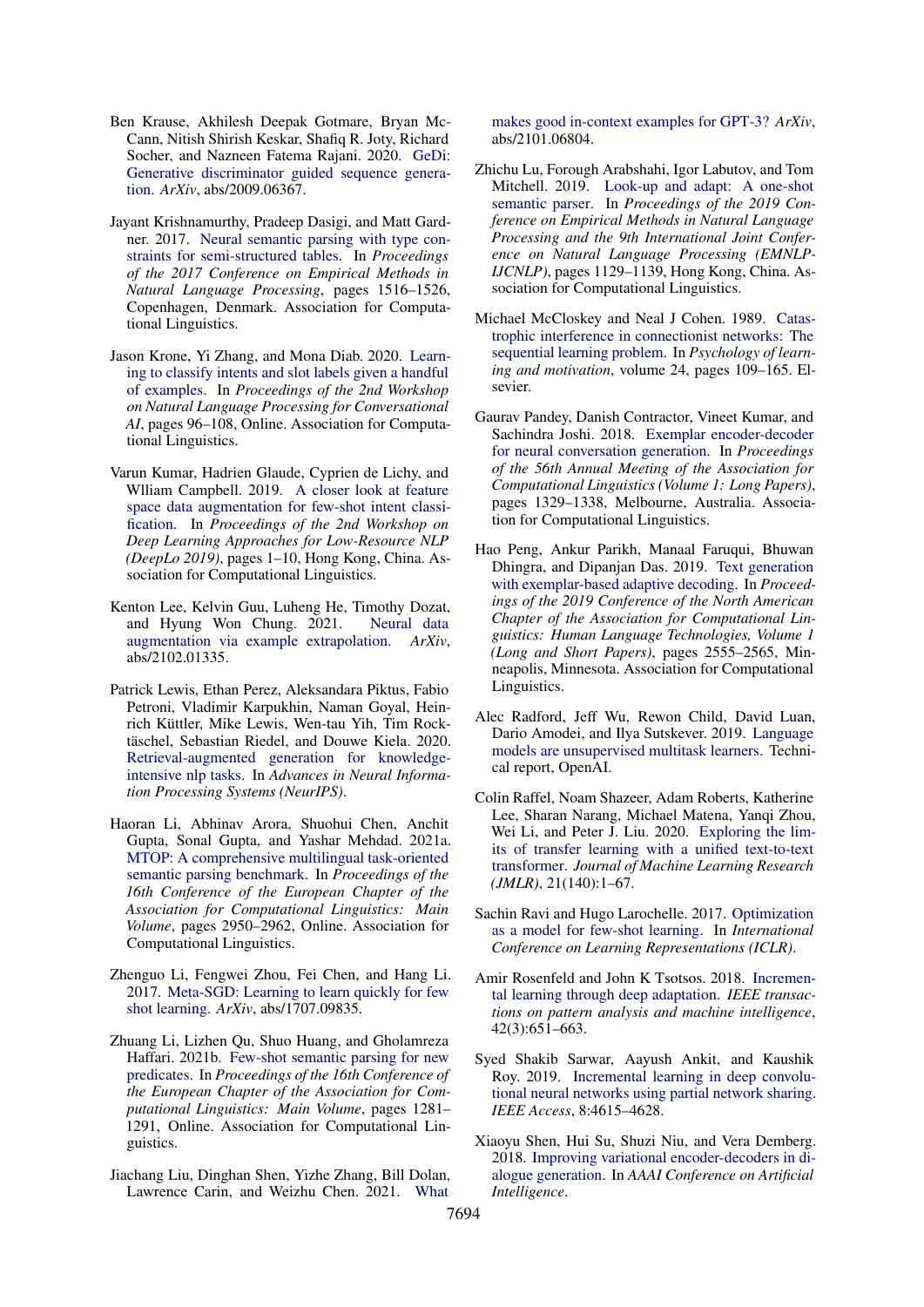- <span id="page-11-19"></span>Ben Krause, Akhilesh Deepak Gotmare, Bryan Mc-Cann, Nitish Shirish Keskar, Shafiq R. Joty, Richard Socher, and Nazneen Fatema Rajani. 2020. [GeDi:](https://arxiv.org/abs/2009.06367) [Generative discriminator guided sequence genera](https://arxiv.org/abs/2009.06367)[tion.](https://arxiv.org/abs/2009.06367) *ArXiv*, abs/2009.06367.
- <span id="page-11-5"></span>Jayant Krishnamurthy, Pradeep Dasigi, and Matt Gardner. 2017. [Neural semantic parsing with type con](https://doi.org/10.18653/v1/D17-1160)[straints for semi-structured tables.](https://doi.org/10.18653/v1/D17-1160) In *Proceedings of the 2017 Conference on Empirical Methods in Natural Language Processing*, pages 1516–1526, Copenhagen, Denmark. Association for Computational Linguistics.
- <span id="page-11-6"></span>Jason Krone, Yi Zhang, and Mona Diab. 2020. [Learn](https://doi.org/10.18653/v1/2020.nlp4convai-1.12)[ing to classify intents and slot labels given a handful](https://doi.org/10.18653/v1/2020.nlp4convai-1.12) [of examples.](https://doi.org/10.18653/v1/2020.nlp4convai-1.12) In *Proceedings of the 2nd Workshop on Natural Language Processing for Conversational AI*, pages 96–108, Online. Association for Computational Linguistics.
- <span id="page-11-7"></span>Varun Kumar, Hadrien Glaude, Cyprien de Lichy, and Wlliam Campbell. 2019. [A closer look at feature](https://doi.org/10.18653/v1/D19-6101) [space data augmentation for few-shot intent classi](https://doi.org/10.18653/v1/D19-6101)[fication.](https://doi.org/10.18653/v1/D19-6101) In *Proceedings of the 2nd Workshop on Deep Learning Approaches for Low-Resource NLP (DeepLo 2019)*, pages 1–10, Hong Kong, China. Association for Computational Linguistics.
- <span id="page-11-8"></span>Kenton Lee, Kelvin Guu, Luheng He, Timothy Dozat,<br>and Hyung Won Chung. 2021. Neural data and Hyung Won Chung. 2021. [augmentation via example extrapolation.](https://arxiv.org/abs/2102.01335) *ArXiv*, abs/2102.01335.
- <span id="page-11-3"></span>Patrick Lewis, Ethan Perez, Aleksandara Piktus, Fabio Petroni, Vladimir Karpukhin, Naman Goyal, Heinrich Küttler, Mike Lewis, Wen-tau Yih, Tim Rocktäschel, Sebastian Riedel, and Douwe Kiela. 2020. [Retrieval-augmented generation for knowledge](https://proceedings.neurips.cc/paper/2020/hash/6b493230205f780e1bc26945df7481e5-Abstract.html)[intensive nlp tasks.](https://proceedings.neurips.cc/paper/2020/hash/6b493230205f780e1bc26945df7481e5-Abstract.html) In *Advances in Neural Information Processing Systems (NeurIPS)*.
- <span id="page-11-2"></span>Haoran Li, Abhinav Arora, Shuohui Chen, Anchit Gupta, Sonal Gupta, and Yashar Mehdad. 2021a. [MTOP: A comprehensive multilingual task-oriented](https://aclanthology.org/2021.eacl-main.257) [semantic parsing benchmark.](https://aclanthology.org/2021.eacl-main.257) In *Proceedings of the 16th Conference of the European Chapter of the Association for Computational Linguistics: Main Volume*, pages 2950–2962, Online. Association for Computational Linguistics.
- <span id="page-11-10"></span>Zhenguo Li, Fengwei Zhou, Fei Chen, and Hang Li. 2017. [Meta-SGD: Learning to learn quickly for few](http://arxiv.org/abs/1707.09835) [shot learning.](http://arxiv.org/abs/1707.09835) *ArXiv*, abs/1707.09835.
- <span id="page-11-0"></span>Zhuang Li, Lizhen Qu, Shuo Huang, and Gholamreza Haffari. 2021b. [Few-shot semantic parsing for new](https://aclanthology.org/2021.eacl-main.109) [predicates.](https://aclanthology.org/2021.eacl-main.109) In *Proceedings of the 16th Conference of the European Chapter of the Association for Computational Linguistics: Main Volume*, pages 1281– 1291, Online. Association for Computational Linguistics.
- <span id="page-11-1"></span>Jiachang Liu, Dinghan Shen, Yizhe Zhang, Bill Dolan, Lawrence Carin, and Weizhu Chen. 2021. [What](https://arxiv.org/abs/2101.06804)

[makes good in-context examples for GPT-3?](https://arxiv.org/abs/2101.06804) *ArXiv*, abs/2101.06804.

- <span id="page-11-16"></span>Zhichu Lu, Forough Arabshahi, Igor Labutov, and Tom Mitchell. 2019. [Look-up and adapt: A one-shot](https://doi.org/10.18653/v1/D19-1104) [semantic parser.](https://doi.org/10.18653/v1/D19-1104) In *Proceedings of the 2019 Conference on Empirical Methods in Natural Language Processing and the 9th International Joint Conference on Natural Language Processing (EMNLP-IJCNLP)*, pages 1129–1139, Hong Kong, China. Association for Computational Linguistics.
- <span id="page-11-12"></span>Michael McCloskey and Neal J Cohen. 1989. [Catas](https://doi.org/https://doi.org/10.1016/S0079-7421(08)60536-8)[trophic interference in connectionist networks: The](https://doi.org/https://doi.org/10.1016/S0079-7421(08)60536-8) [sequential learning problem.](https://doi.org/https://doi.org/10.1016/S0079-7421(08)60536-8) In *Psychology of learning and motivation*, volume 24, pages 109–165. Elsevier.
- <span id="page-11-15"></span>Gaurav Pandey, Danish Contractor, Vineet Kumar, and Sachindra Joshi. 2018. [Exemplar encoder-decoder](https://doi.org/10.18653/v1/P18-1123) [for neural conversation generation.](https://doi.org/10.18653/v1/P18-1123) In *Proceedings of the 56th Annual Meeting of the Association for Computational Linguistics (Volume 1: Long Papers)*, pages 1329–1338, Melbourne, Australia. Association for Computational Linguistics.
- <span id="page-11-17"></span>Hao Peng, Ankur Parikh, Manaal Faruqui, Bhuwan Dhingra, and Dipanjan Das. 2019. [Text generation](https://doi.org/10.18653/v1/N19-1263) [with exemplar-based adaptive decoding.](https://doi.org/10.18653/v1/N19-1263) In *Proceedings of the 2019 Conference of the North American Chapter of the Association for Computational Linguistics: Human Language Technologies, Volume 1 (Long and Short Papers)*, pages 2555–2565, Minneapolis, Minnesota. Association for Computational Linguistics.
- <span id="page-11-11"></span>Alec Radford, Jeff Wu, Rewon Child, David Luan, Dario Amodei, and Ilya Sutskever. 2019. [Language](https://cdn.openai.com/better-language-models/language_models_are_unsupervised_multitask_learners.pdf) [models are unsupervised multitask learners.](https://cdn.openai.com/better-language-models/language_models_are_unsupervised_multitask_learners.pdf) Technical report, OpenAI.
- <span id="page-11-4"></span>Colin Raffel, Noam Shazeer, Adam Roberts, Katherine Lee, Sharan Narang, Michael Matena, Yanqi Zhou, Wei Li, and Peter J. Liu. 2020. [Exploring the lim](http://jmlr.org/papers/v21/20-074.html)[its of transfer learning with a unified text-to-text](http://jmlr.org/papers/v21/20-074.html) [transformer.](http://jmlr.org/papers/v21/20-074.html) *Journal of Machine Learning Research (JMLR)*, 21(140):1–67.
- <span id="page-11-9"></span>Sachin Ravi and Hugo Larochelle. 2017. [Optimization](https://openreview.net/forum?id=rJY0-Kcll) [as a model for few-shot learning.](https://openreview.net/forum?id=rJY0-Kcll) In *International Conference on Learning Representations (ICLR)*.
- <span id="page-11-14"></span>Amir Rosenfeld and John K Tsotsos. 2018. [Incremen](https://doi.org/10.1109/TPAMI.2018.2884462)[tal learning through deep adaptation.](https://doi.org/10.1109/TPAMI.2018.2884462) *IEEE transactions on pattern analysis and machine intelligence*, 42(3):651–663.
- <span id="page-11-13"></span>Syed Shakib Sarwar, Aayush Ankit, and Kaushik Roy. 2019. [Incremental learning in deep convolu](https://doi.org/10.1109/ACCESS.2019.2963056)[tional neural networks using partial network sharing.](https://doi.org/10.1109/ACCESS.2019.2963056) *IEEE Access*, 8:4615–4628.
- <span id="page-11-18"></span>Xiaoyu Shen, Hui Su, Shuzi Niu, and Vera Demberg. 2018. [Improving variational encoder-decoders in di](https://www.aaai.org/ocs/index.php/AAAI/AAAI18/paper/view/16402)[alogue generation.](https://www.aaai.org/ocs/index.php/AAAI/AAAI18/paper/view/16402) In *AAAI Conference on Artificial Intelligence*.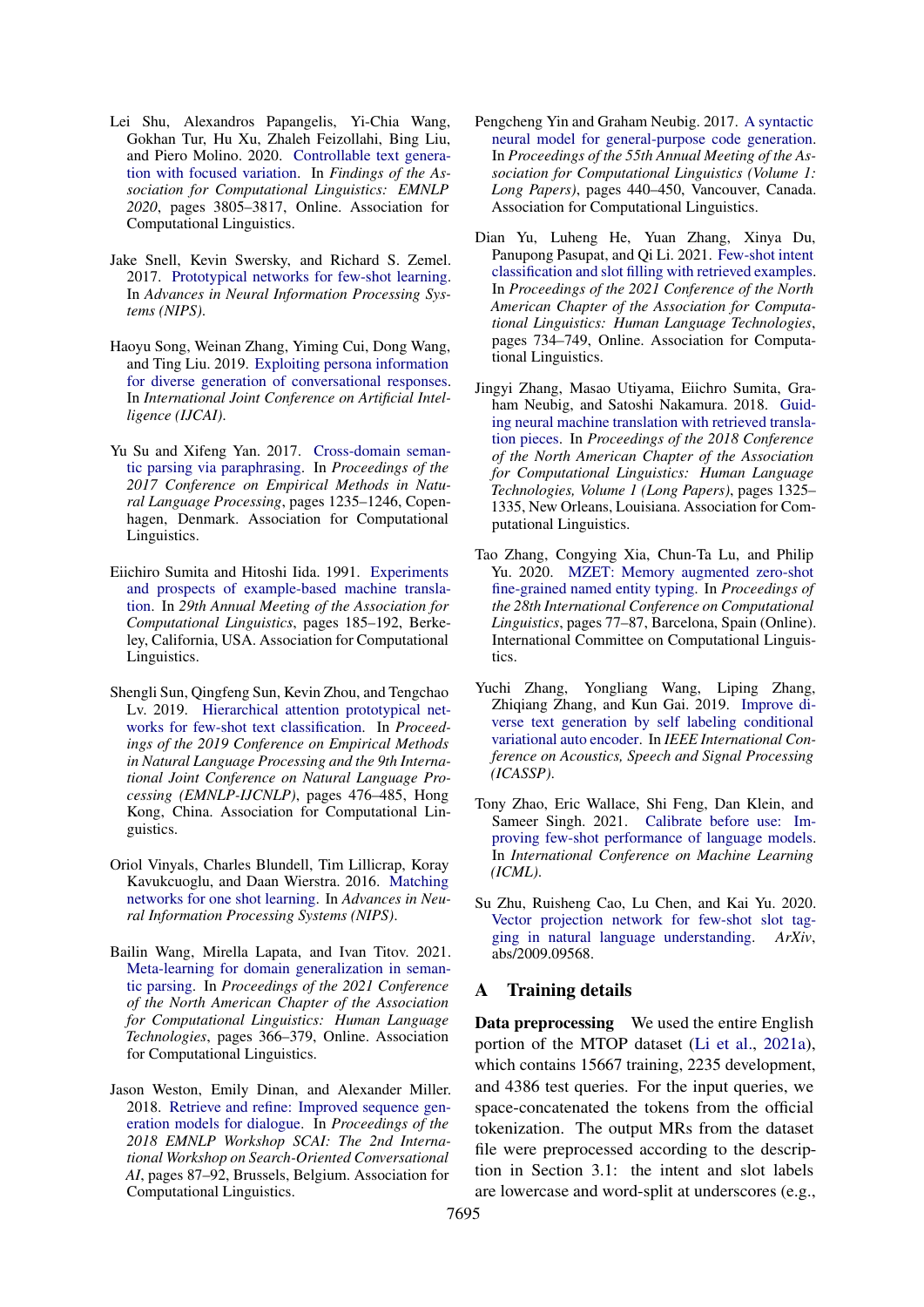- <span id="page-12-15"></span>Lei Shu, Alexandros Papangelis, Yi-Chia Wang, Gokhan Tur, Hu Xu, Zhaleh Feizollahi, Bing Liu, and Piero Molino. 2020. [Controllable text genera](https://doi.org/10.18653/v1/2020.findings-emnlp.339)[tion with focused variation.](https://doi.org/10.18653/v1/2020.findings-emnlp.339) In *Findings of the Association for Computational Linguistics: EMNLP 2020*, pages 3805–3817, Online. Association for Computational Linguistics.
- <span id="page-12-4"></span>Jake Snell, Kevin Swersky, and Richard S. Zemel. 2017. [Prototypical networks for few-shot learning.](https://proceedings.neurips.cc/paper/2017/hash/cb8da6767461f2812ae4290eac7cbc42-Abstract.html) In *Advances in Neural Information Processing Systems (NIPS)*.
- <span id="page-12-14"></span>Haoyu Song, Weinan Zhang, Yiming Cui, Dong Wang, and Ting Liu. 2019. [Exploiting persona information](https://doi.org/10.24963/ijcai.2019/721) [for diverse generation of conversational responses.](https://doi.org/10.24963/ijcai.2019/721) In *International Joint Conference on Artificial Intelligence (IJCAI)*.
- <span id="page-12-0"></span>Yu Su and Xifeng Yan. 2017. [Cross-domain seman](https://doi.org/10.18653/v1/D17-1127)[tic parsing via paraphrasing.](https://doi.org/10.18653/v1/D17-1127) In *Proceedings of the 2017 Conference on Empirical Methods in Natural Language Processing*, pages 1235–1246, Copenhagen, Denmark. Association for Computational Linguistics.
- <span id="page-12-11"></span>Eiichiro Sumita and Hitoshi Iida. 1991. [Experiments](https://doi.org/10.3115/981344.981368) [and prospects of example-based machine transla](https://doi.org/10.3115/981344.981368)[tion.](https://doi.org/10.3115/981344.981368) In *29th Annual Meeting of the Association for Computational Linguistics*, pages 185–192, Berkeley, California, USA. Association for Computational Linguistics.
- <span id="page-12-5"></span>Shengli Sun, Qingfeng Sun, Kevin Zhou, and Tengchao Lv. 2019. [Hierarchical attention prototypical net](https://doi.org/10.18653/v1/D19-1045)[works for few-shot text classification.](https://doi.org/10.18653/v1/D19-1045) In *Proceedings of the 2019 Conference on Empirical Methods in Natural Language Processing and the 9th International Joint Conference on Natural Language Processing (EMNLP-IJCNLP)*, pages 476–485, Hong Kong, China. Association for Computational Linguistics.
- <span id="page-12-3"></span>Oriol Vinyals, Charles Blundell, Tim Lillicrap, Koray Kavukcuoglu, and Daan Wierstra. 2016. [Matching](https://proceedings.neurips.cc/paper/2016/hash/90e1357833654983612fb05e3ec9148c-Abstract.html) [networks for one shot learning.](https://proceedings.neurips.cc/paper/2016/hash/90e1357833654983612fb05e3ec9148c-Abstract.html) In *Advances in Neural Information Processing Systems (NIPS)*.
- <span id="page-12-8"></span>Bailin Wang, Mirella Lapata, and Ivan Titov. 2021. [Meta-learning for domain generalization in seman](https://doi.org/10.18653/v1/2021.naacl-main.33)[tic parsing.](https://doi.org/10.18653/v1/2021.naacl-main.33) In *Proceedings of the 2021 Conference of the North American Chapter of the Association for Computational Linguistics: Human Language Technologies*, pages 366–379, Online. Association for Computational Linguistics.
- <span id="page-12-10"></span>Jason Weston, Emily Dinan, and Alexander Miller. 2018. [Retrieve and refine: Improved sequence gen](https://doi.org/10.18653/v1/W18-5713)[eration models for dialogue.](https://doi.org/10.18653/v1/W18-5713) In *Proceedings of the 2018 EMNLP Workshop SCAI: The 2nd International Workshop on Search-Oriented Conversational AI*, pages 87–92, Brussels, Belgium. Association for Computational Linguistics.
- <span id="page-12-1"></span>Pengcheng Yin and Graham Neubig. 2017. [A syntactic](https://doi.org/10.18653/v1/P17-1041) [neural model for general-purpose code generation.](https://doi.org/10.18653/v1/P17-1041) In *Proceedings of the 55th Annual Meeting of the Association for Computational Linguistics (Volume 1: Long Papers)*, pages 440–450, Vancouver, Canada. Association for Computational Linguistics.
- <span id="page-12-7"></span>Dian Yu, Luheng He, Yuan Zhang, Xinya Du, Panupong Pasupat, and Qi Li. 2021. [Few-shot intent](https://doi.org/10.18653/v1/2021.naacl-main.59) [classification and slot filling with retrieved examples.](https://doi.org/10.18653/v1/2021.naacl-main.59) In *Proceedings of the 2021 Conference of the North American Chapter of the Association for Computational Linguistics: Human Language Technologies*, pages 734–749, Online. Association for Computational Linguistics.
- <span id="page-12-12"></span>Jingyi Zhang, Masao Utiyama, Eiichro Sumita, Graham Neubig, and Satoshi Nakamura. 2018. [Guid](https://doi.org/10.18653/v1/N18-1120)[ing neural machine translation with retrieved transla](https://doi.org/10.18653/v1/N18-1120)[tion pieces.](https://doi.org/10.18653/v1/N18-1120) In *Proceedings of the 2018 Conference of the North American Chapter of the Association for Computational Linguistics: Human Language Technologies, Volume 1 (Long Papers)*, pages 1325– 1335, New Orleans, Louisiana. Association for Computational Linguistics.
- <span id="page-12-6"></span>Tao Zhang, Congying Xia, Chun-Ta Lu, and Philip Yu. 2020. [MZET: Memory augmented zero-shot](https://doi.org/10.18653/v1/2020.coling-main.7) [fine-grained named entity typing.](https://doi.org/10.18653/v1/2020.coling-main.7) In *Proceedings of the 28th International Conference on Computational Linguistics*, pages 77–87, Barcelona, Spain (Online). International Committee on Computational Linguistics.
- <span id="page-12-13"></span>Yuchi Zhang, Yongliang Wang, Liping Zhang, Zhiqiang Zhang, and Kun Gai. 2019. [Improve di](https://doi.org/10.1109/ICASSP.2019.8683090)[verse text generation by self labeling conditional](https://doi.org/10.1109/ICASSP.2019.8683090) [variational auto encoder.](https://doi.org/10.1109/ICASSP.2019.8683090) In *IEEE International Conference on Acoustics, Speech and Signal Processing (ICASSP)*.
- <span id="page-12-9"></span>Tony Zhao, Eric Wallace, Shi Feng, Dan Klein, and Sameer Singh. 2021. [Calibrate before use: Im](http://proceedings.mlr.press/v139/zhao21c.html)[proving few-shot performance of language models.](http://proceedings.mlr.press/v139/zhao21c.html) In *International Conference on Machine Learning (ICML)*.
- <span id="page-12-2"></span>Su Zhu, Ruisheng Cao, Lu Chen, and Kai Yu. 2020. [Vector projection network for few-shot slot tag](https://arxiv.org/abs/2009.09568)[ging in natural language understanding.](https://arxiv.org/abs/2009.09568) *ArXiv*, abs/2009.09568.

### A Training details

Data preprocessing We used the entire English portion of the MTOP dataset [\(Li et al.,](#page-11-2) [2021a\)](#page-11-2), which contains 15667 training, 2235 development, and 4386 test queries. For the input queries, we space-concatenated the tokens from the official tokenization. The output MRs from the dataset file were preprocessed according to the description in Section 3.1: the intent and slot labels are lowercase and word-split at underscores (e.g.,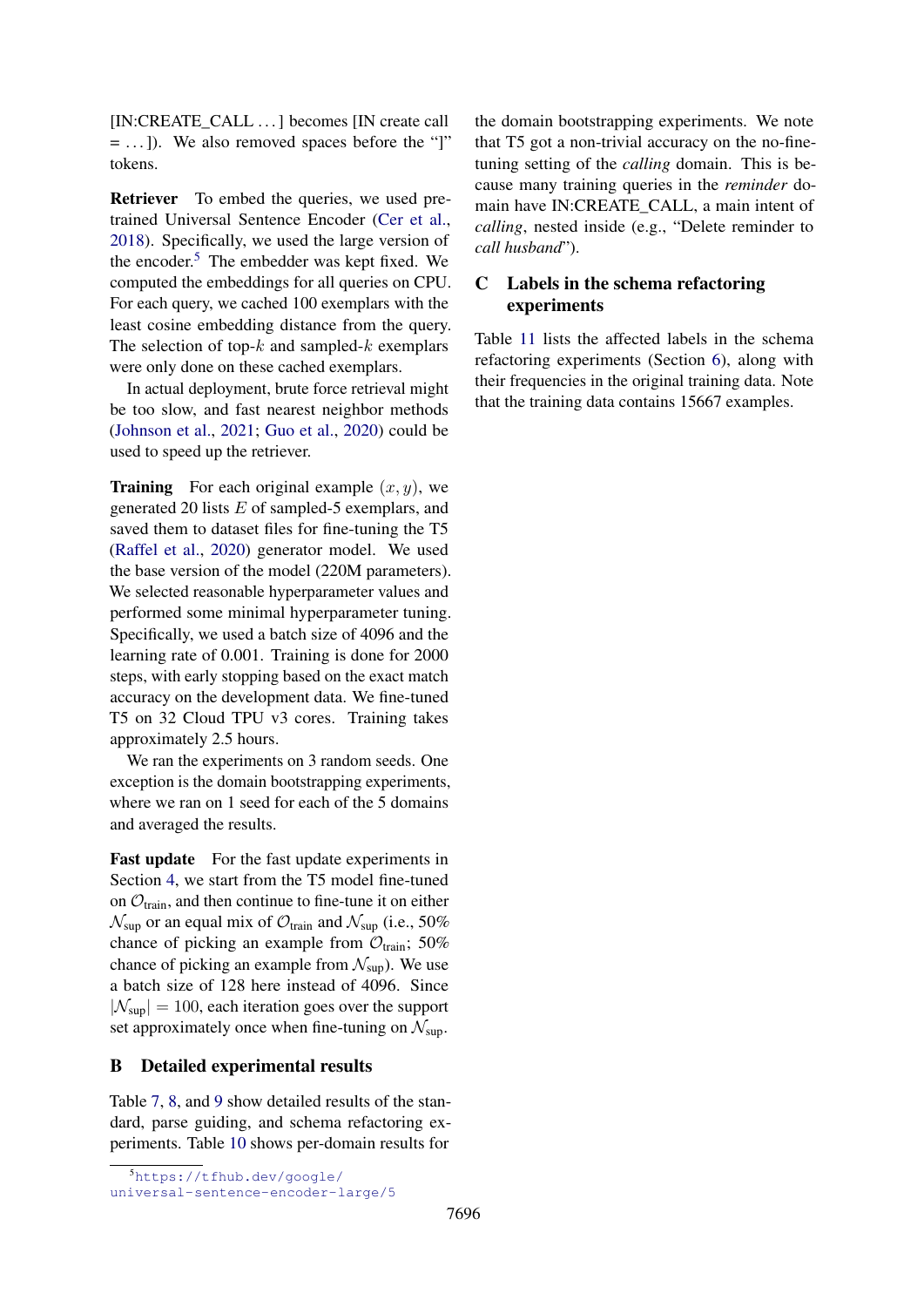[IN:CREATE\_CALL ...] becomes [IN create call  $=$ ...]). We also removed spaces before the "]" tokens.

Retriever To embed the queries, we used pretrained Universal Sentence Encoder [\(Cer et al.,](#page-9-1) [2018\)](#page-9-1). Specifically, we used the large version of the encoder. $5$  The embedder was kept fixed. We computed the embeddings for all queries on CPU. For each query, we cached 100 exemplars with the least cosine embedding distance from the query. The selection of top- $k$  and sampled- $k$  exemplars were only done on these cached exemplars.

In actual deployment, brute force retrieval might be too slow, and fast nearest neighbor methods [\(Johnson et al.,](#page-10-20) [2021;](#page-10-20) [Guo et al.,](#page-10-21) [2020\)](#page-10-21) could be used to speed up the retriever.

**Training** For each original example  $(x, y)$ , we generated 20 lists  $E$  of sampled-5 exemplars, and saved them to dataset files for fine-tuning the T5 [\(Raffel et al.,](#page-11-4) [2020\)](#page-11-4) generator model. We used the base version of the model (220M parameters). We selected reasonable hyperparameter values and performed some minimal hyperparameter tuning. Specifically, we used a batch size of 4096 and the learning rate of 0.001. Training is done for 2000 steps, with early stopping based on the exact match accuracy on the development data. We fine-tuned T5 on 32 Cloud TPU v3 cores. Training takes approximately 2.5 hours.

We ran the experiments on 3 random seeds. One exception is the domain bootstrapping experiments, where we ran on 1 seed for each of the 5 domains and averaged the results.

Fast update For the fast update experiments in Section [4,](#page-4-0) we start from the T5 model fine-tuned on  $\mathcal{O}_{\text{train}}$ , and then continue to fine-tune it on either  $\mathcal{N}_{\text{sup}}$  or an equal mix of  $\mathcal{O}_{\text{train}}$  and  $\mathcal{N}_{\text{sup}}$  (i.e., 50%) chance of picking an example from  $\mathcal{O}_{\text{train}}$ ; 50% chance of picking an example from  $\mathcal{N}_{\text{sun}}$ ). We use a batch size of 128 here instead of 4096. Since  $|\mathcal{N}_{\text{sup}}| = 100$ , each iteration goes over the support set approximately once when fine-tuning on  $\mathcal{N}_{\text{sup}}$ .

## B Detailed experimental results

Table [7,](#page-14-0) [8,](#page-14-1) and [9](#page-14-2) show detailed results of the standard, parse guiding, and schema refactoring experiments. Table [10](#page-14-3) shows per-domain results for

the domain bootstrapping experiments. We note that T5 got a non-trivial accuracy on the no-finetuning setting of the *calling* domain. This is because many training queries in the *reminder* domain have IN:CREATE\_CALL, a main intent of *calling*, nested inside (e.g., "Delete reminder to *call husband*").

# <span id="page-13-0"></span>C Labels in the schema refactoring experiments

Table [11](#page-15-0) lists the affected labels in the schema refactoring experiments (Section [6\)](#page-6-1), along with their frequencies in the original training data. Note that the training data contains 15667 examples.

<span id="page-13-1"></span><sup>5</sup>[https://tfhub.dev/google/](https://tfhub.dev/google/universal-sentence-encoder-large/5)

[universal-sentence-encoder-large/5](https://tfhub.dev/google/universal-sentence-encoder-large/5)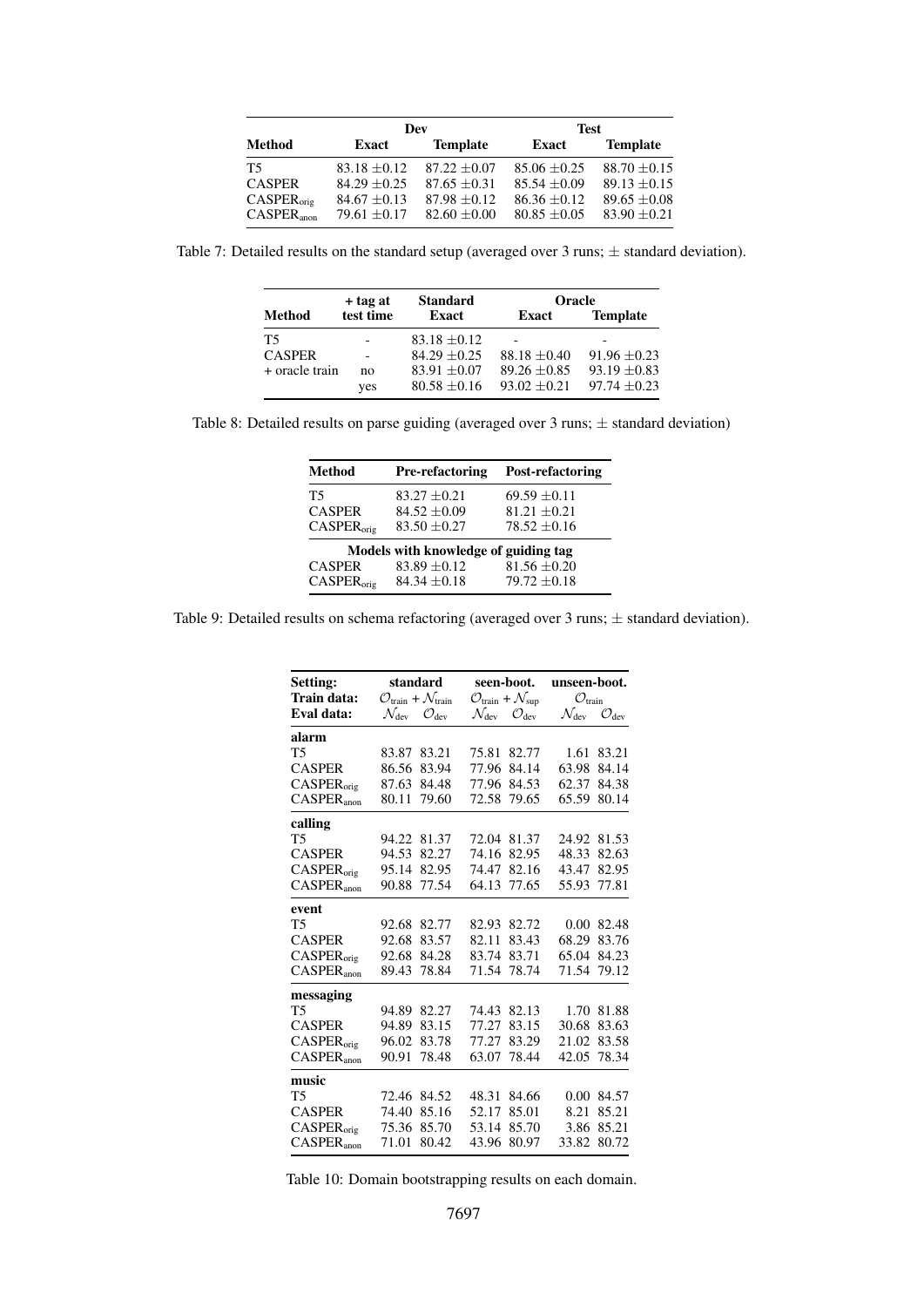<span id="page-14-0"></span>

| Dev                              |                                    |                                  | <b>Test</b>                          |                                      |  |
|----------------------------------|------------------------------------|----------------------------------|--------------------------------------|--------------------------------------|--|
| Method                           | Exact                              | <b>Template</b>                  | Exact                                | <b>Template</b>                      |  |
| Τ5                               | $83.18 \pm 0.12$                   | $87.22 + 0.07$                   | $85.06 \pm 0.25$                     | $88.70 \pm 0.15$                     |  |
| CASPER<br>CASPER <sub>orig</sub> | $84.29 + 0.25$<br>$84.67 \pm 0.13$ | $87.65 + 0.31$<br>$87.98 + 0.12$ | $85.54 \pm 0.09$<br>$86.36 \pm 0.12$ | $89.13 \pm 0.15$<br>$89.65 \pm 0.08$ |  |
| $CASPER_{\text{anon}}$           | 79.61 $\pm$ 0.17                   | $82.60 \pm 0.00$                 | $80.85 \pm 0.05$                     | $83.90 \pm 0.21$                     |  |

<span id="page-14-1"></span>Table 7: Detailed results on the standard setup (averaged over  $3$  runs;  $\pm$  standard deviation).

|                  | + tag at  | <b>Standard</b>  | <b>Oracle</b>            |                  |
|------------------|-----------|------------------|--------------------------|------------------|
| Method           | test time | <b>Exact</b>     | Exact                    | <b>Template</b>  |
| T5               |           | $83.18 + 0.12$   | $\overline{\phantom{0}}$ |                  |
| <b>CASPER</b>    |           | $84.29 + 0.25$   | $88.18 + 0.40$           | $91.96 + 0.23$   |
| $+$ oracle train | no        | $83.91 \pm 0.07$ | $89.26 + 0.85$           | $93.19 \pm 0.83$ |
|                  | yes       | $80.58 + 0.16$   | $93.02 \pm 0.21$         | $97.74 + 0.23$   |

<span id="page-14-2"></span>Table 8: Detailed results on parse guiding (averaged over 3 runs; ± standard deviation)

| <b>Method</b>          | <b>Pre-refactoring</b>               | <b>Post-refactoring</b> |
|------------------------|--------------------------------------|-------------------------|
| T5                     | $83.27 \pm 0.21$                     | $69.59 \pm 0.11$        |
| <b>CASPER</b>          | $84.52 + 0.09$                       | $81.21 + 0.21$          |
| CASPER <sub>orig</sub> | $83.50 \pm 0.27$                     | $78.52 + 0.16$          |
|                        | Models with knowledge of guiding tag |                         |
| <b>CASPER</b>          | $83.89 \pm 0.12$                     | $81.56 \pm 0.20$        |
| CASPER <sub>orig</sub> | $84.34 \pm 0.18$                     | $79.72 + 0.18$          |

<span id="page-14-3"></span>Table 9: Detailed results on schema refactoring (averaged over 3 runs;  $\pm$  standard deviation).

| Setting:                      | standard                                                  | seen-boot.                                              | unseen-boot.               |
|-------------------------------|-----------------------------------------------------------|---------------------------------------------------------|----------------------------|
| Train data:                   | $\mathcal{O}_{\text{train}} + \mathcal{N}_{\text{train}}$ | $\mathcal{O}_{\text{train}} + \mathcal{N}_{\text{sup}}$ | $\mathcal{O}_\text{train}$ |
| Eval data:                    | $\mathcal{N}_{\text{dev}}$                                | $\mathcal{N}_{\text{dev}}$                              | $\mathcal{N}_{\text{dev}}$ |
|                               | $\mathcal{O}_{\text{dev}}$                                | $\mathcal{O}_{\text{dev}}$                              | $\mathcal{O}_{\text{dev}}$ |
| alarm                         |                                                           |                                                         |                            |
| T <sub>5</sub>                | 83.87                                                     | 75.81                                                   | 1.61                       |
|                               | 83.21                                                     | 82.77                                                   | 83.21                      |
| <b>CASPER</b>                 | 86.56                                                     | 84.14                                                   | 63.98                      |
|                               | 83.94                                                     | 77.96                                                   | 84.14                      |
| CASPER <sub>orig</sub>        | 87.63                                                     | 84.53                                                   | 62.37                      |
|                               | 84.48                                                     | 77.96                                                   | 84.38                      |
| <b>CASPER</b> <sub>anon</sub> | 80.11                                                     | 72.58                                                   | 65.59                      |
|                               | 79.60                                                     | 79.65                                                   | 80.14                      |
| calling                       |                                                           |                                                         |                            |
| T5                            | 94.22                                                     | 72.04                                                   | 81.53                      |
|                               | 81.37                                                     | 81.37                                                   | 24.92                      |
| <b>CASPER</b>                 | 94.53                                                     | 74.16                                                   | 48.33                      |
|                               | 82.27                                                     | 82.95                                                   | 82.63                      |
| <b>CASPER</b> <sub>orig</sub> | 95.14                                                     | 74.47                                                   | 82.95                      |
|                               | 82.95                                                     | 82.16                                                   | 43.47                      |
| CASPER <sub>anon</sub>        | 77.54                                                     | 64.13                                                   | 77.81                      |
|                               | 90.88                                                     | 77.65                                                   | 55.93                      |
| event                         |                                                           |                                                         |                            |
| <b>T5</b>                     | 92.68                                                     | 82.93                                                   | 0.00                       |
|                               | 82.77                                                     | 82.72                                                   | 82.48                      |
| <b>CASPER</b>                 | 83.57                                                     | 82.11                                                   | 83.76                      |
|                               | 92.68                                                     | 83.43                                                   | 68.29                      |
| CASPER <sub>orig</sub>        | 92.68                                                     | 83.71                                                   | 84.23                      |
|                               | 84.28                                                     | 83.74                                                   | 65.04                      |
| <b>CASPER</b> <sub>anon</sub> | 78.84                                                     | 71.54                                                   | 79.12                      |
|                               | 89.43                                                     | 78.74                                                   | 71.54                      |
| messaging                     |                                                           |                                                         |                            |
| T5                            | 94.89                                                     | 74.43                                                   | 1.70                       |
|                               | 82.27                                                     | 82.13                                                   | 81.88                      |
| <b>CASPER</b>                 | 94.89                                                     | 77.27                                                   | 30.68                      |
|                               | 83.15                                                     | 83.15                                                   | 83.63                      |
| <b>CASPER</b> <sub>orig</sub> | 96.02                                                     | 77.27                                                   | 83.58                      |
|                               | 83.78                                                     | 83.29                                                   | 21.02                      |
| CASPER <sub>anon</sub>        | 90.91                                                     | 78.44                                                   | 78.34                      |
|                               | 78.48                                                     | 63.07                                                   | 42.05                      |
| music                         |                                                           |                                                         |                            |
| <b>T5</b>                     | 72.46                                                     | 48.31                                                   | 0.00                       |
|                               | 84.52                                                     | 84.66                                                   | 84.57                      |
| <b>CASPER</b>                 | 74.40                                                     | 52.17                                                   | 85.21                      |
|                               | 85.16                                                     | 85.01                                                   | 8.21                       |
| CASPER <sub>orig</sub>        | 75.36                                                     | 53.14                                                   | 3.86                       |
|                               | 85.70                                                     | 85.70                                                   | 85.21                      |
| <b>CASPER</b> <sub>anon</sub> | 80.42                                                     | 80.97                                                   | 33.82                      |
|                               | 71.01                                                     | 43.96                                                   | 80.72                      |

Table 10: Domain bootstrapping results on each domain.